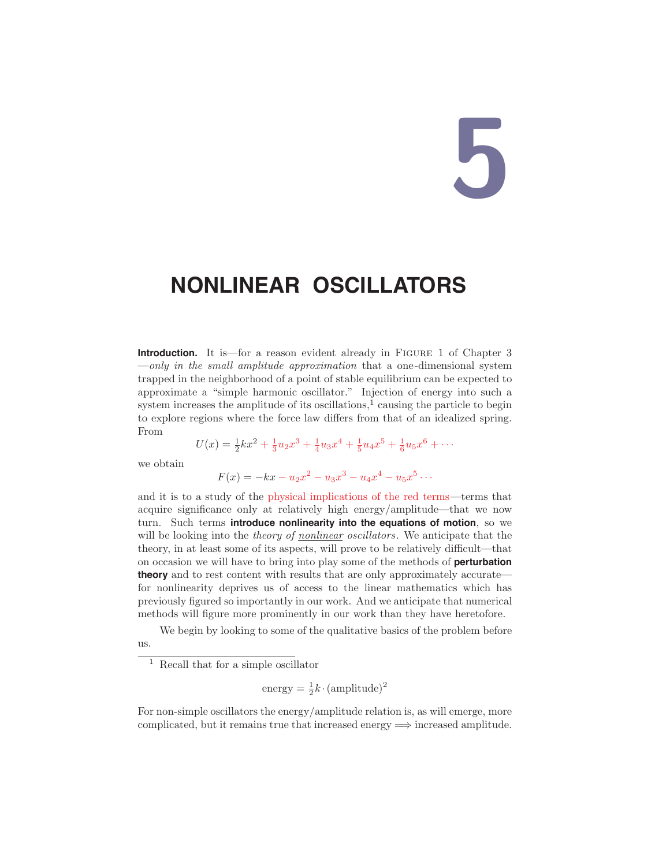# **5**

# **NONLINEAR OSCILLATORS**

**Introduction.** It is—for a reason evident already in FIGURE 1 of Chapter 3  $-only in the small amplitude approximation that a one-dimensional system$ trapped in the neighborhood of a point of stable equilibrium can be expected to approximate a "simple harmonic oscillator." Injection of energy into such a system increases the amplitude of its oscillations, $\frac{1}{1}$  causing the particle to begin to explore regions where the force law differs from that of an idealized spring. From

$$
U(x) = \frac{1}{2}kx^2 + \frac{1}{3}u_2x^3 + \frac{1}{4}u_3x^4 + \frac{1}{5}u_4x^5 + \frac{1}{6}u_5x^6 + \cdots
$$

we obtain

$$
F(x) = -kx - u_2x^2 - u_3x^3 - u_4x^4 - u_5x^5 \cdots
$$

and it is to a study of the physical implications of the red terms—terms that acquire significance only at relatively high energy/amplitude—that we now turn. Such terms **introduce nonlinearity into the equations of motion**, so we will be looking into the theory of nonlinear oscillators. We anticipate that the theory, in at least some of its aspects, will prove to be relatively difficult—that on occasion we will have to bring into play some of the methods of **perturbation theory** and to rest content with results that are only approximately accurate for nonlinearity deprives us of access to the linear mathematics which has previously figured so importantly in our work. And we anticipate that numerical methods will figure more prominently in our work than they have heretofore.

We begin by looking to some of the qualitative basics of the problem before us.

energy = 
$$
\frac{1}{2}k \cdot \text{(amplitude)}^2
$$

For non-simple oscillators the energy/amplitude relation is, as will emerge, more complicated, but it remains true that increased energy  $\Longrightarrow$  increased amplitude.

<sup>1</sup> Recall that for a simple oscillator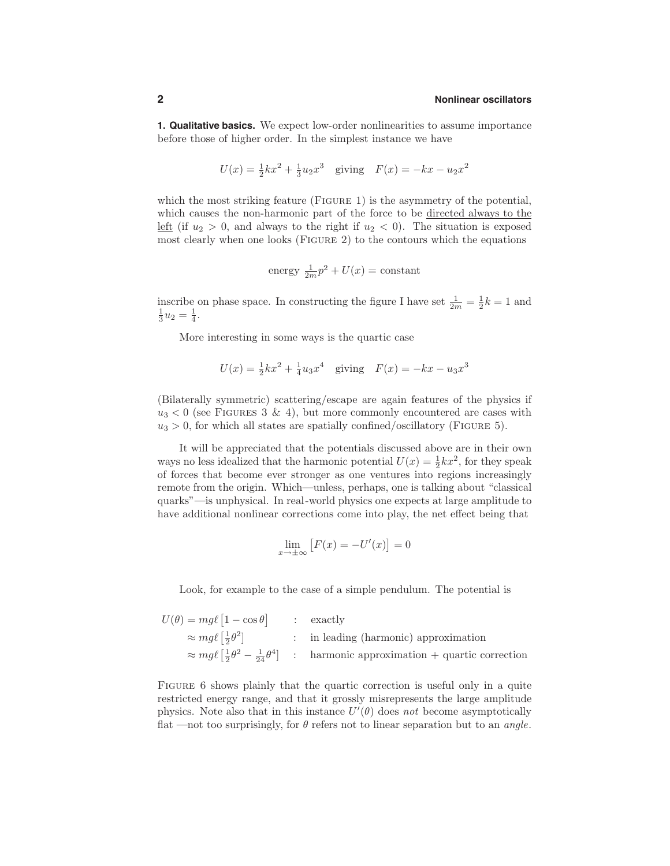**1. Qualitative basics.** We expect low-order nonlinearities to assume importance before those of higher order. In the simplest instance we have

$$
U(x) = \frac{1}{2}kx^2 + \frac{1}{3}u_2x^3
$$
 giving  $F(x) = -kx - u_2x^2$ 

which the most striking feature (FIGURE 1) is the asymmetry of the potential, which causes the non-harmonic part of the force to be directed always to the left (if  $u_2 > 0$ , and always to the right if  $u_2 < 0$ ). The situation is exposed most clearly when one looks (Figure 2) to the contours which the equations

energy 
$$
\frac{1}{2m}p^2 + U(x) = \text{constant}
$$

inscribe on phase space. In constructing the figure I have set  $\frac{1}{2m} = \frac{1}{2}k = 1$  and  $\frac{1}{3}u_2 = \frac{1}{4}.$ 

More interesting in some ways is the quartic case

$$
U(x) = \frac{1}{2}kx^2 + \frac{1}{4}u_3x^4
$$
 giving  $F(x) = -kx - u_3x^3$ 

(Bilaterally symmetric) scattering/escape are again features of the physics if  $u_3$  < 0 (see FIGURES 3 & 4), but more commonly encountered are cases with  $u_3 > 0$ , for which all states are spatially confined/oscillatory (FIGURE 5).

It will be appreciated that the potentials discussed above are in their own ways no less idealized that the harmonic potential  $U(x) = \frac{1}{2}kx^2$ , for they speak of forces that become ever stronger as one ventures into regions increasingly remote from the origin. Which—unless, perhaps, one is talking about "classical quarks"—is unphysical. In real-world physics one expects at large amplitude to have additional nonlinear corrections come into play, the net effect being that

$$
\lim_{x \to \pm \infty} \left[ F(x) = -U'(x) \right] = 0
$$

Look, for example to the case of a simple pendulum. The potential is

| $U(\theta) = mg\ell  1 - \cos \theta $           | : exactly                                                                                                           |
|--------------------------------------------------|---------------------------------------------------------------------------------------------------------------------|
| $\approx mg\ell\left[\frac{1}{2}\theta^2\right]$ | : in leading (harmonic) approximation                                                                               |
|                                                  | $\approx mg\ell\left[\frac{1}{2}\theta^2-\frac{1}{24}\theta^4\right]$ : harmonic approximation + quartic correction |

FIGURE 6 shows plainly that the quartic correction is useful only in a quite restricted energy range, and that it grossly misrepresents the large amplitude physics. Note also that in this instance  $U'(\theta)$  does not become asymptotically flat —not too surprisingly, for  $\theta$  refers not to linear separation but to an *angle*.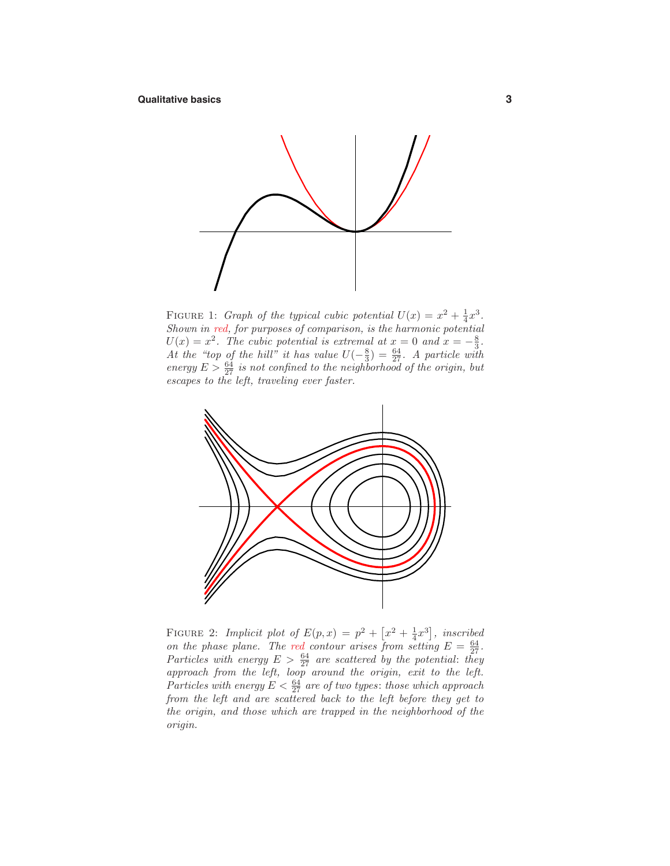

FIGURE 1: *Graph of the typical cubic potential*  $U(x) = x^2 + \frac{1}{4}x^3$ . Shown in red, for purposes of comparison, is the harmonic potential  $U(x) = x^2$ . The cubic potential is extremal at  $x = 0$  and  $x = -\frac{8}{3}$ . At the "top of the hill" it has value  $U(-\frac{8}{3}) = \frac{64}{27}$ . A particle with energy  $E > \frac{64}{27}$  is not confined to the neighborhood of the origin, but escapes to the left, traveling ever faster.



FIGURE 2: Implicit plot of  $E(p, x) = p^2 + \left[x^2 + \frac{1}{4}x^3\right]$ , inscribed on the phase plane. The red contour arises from setting  $E = \frac{64}{27}$ . Particles with energy  $E > \frac{64}{27}$  are scattered by the potential: they approach from the left, loop around the origin, exit to the left. Particles with energy  $E < \frac{64}{27}$  are of two types: those which approach from the left and are scattered back to the left before they get to the origin, and those which are trapped in the neighborhood of the origin.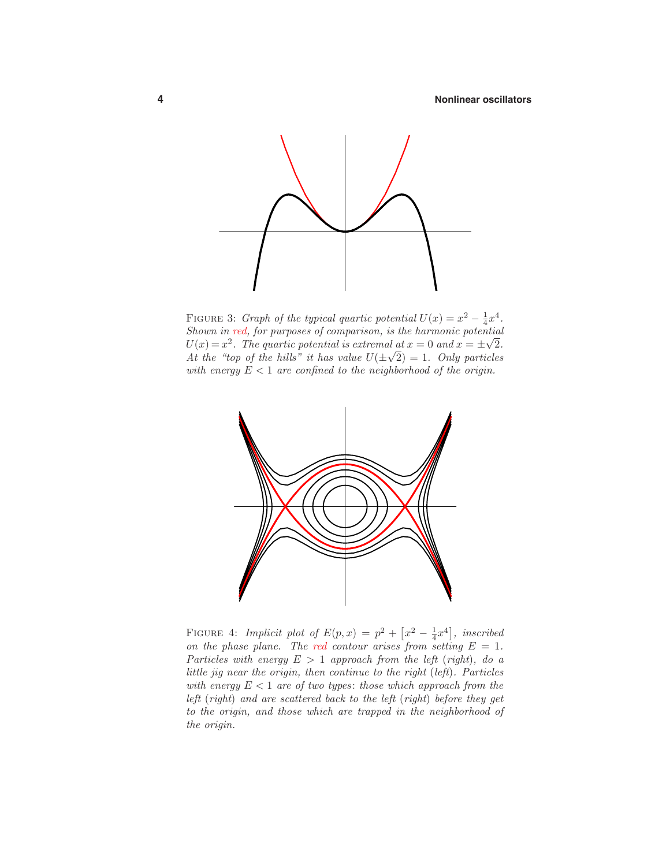

FIGURE 3: *Graph of the typical quartic potential*  $U(x) = x^2 - \frac{1}{4}x^4$ . Shown in red, for purposes of comparison, is the harmonic potential *U*(*x*) =  $x^2$ . The quartic potential is extremal at  $x = 0$  and  $x = \pm \sqrt{2}$ .  $U(x) = x^2$ . The quartic potential is extremal at  $x = 0$  and  $x = \pm \sqrt{2}$ .<br>At the "top of the hills" it has value  $U(\pm \sqrt{2}) = 1$ . Only particles with energy  $E < 1$  are confined to the neighborhood of the origin.



FIGURE 4: Implicit plot of  $E(p, x) = p^2 + \left[x^2 - \frac{1}{4}x^4\right]$ , inscribed on the phase plane. The red contour arises from setting  $E = 1$ . Particles with energy  $E > 1$  approach from the left (right), do a little jig near the origin, then continue to the right (left). Particles with energy  $E < 1$  are of two types: those which approach from the left (right) and are scattered back to the left (right) before they get to the origin, and those which are trapped in the neighborhood of the origin.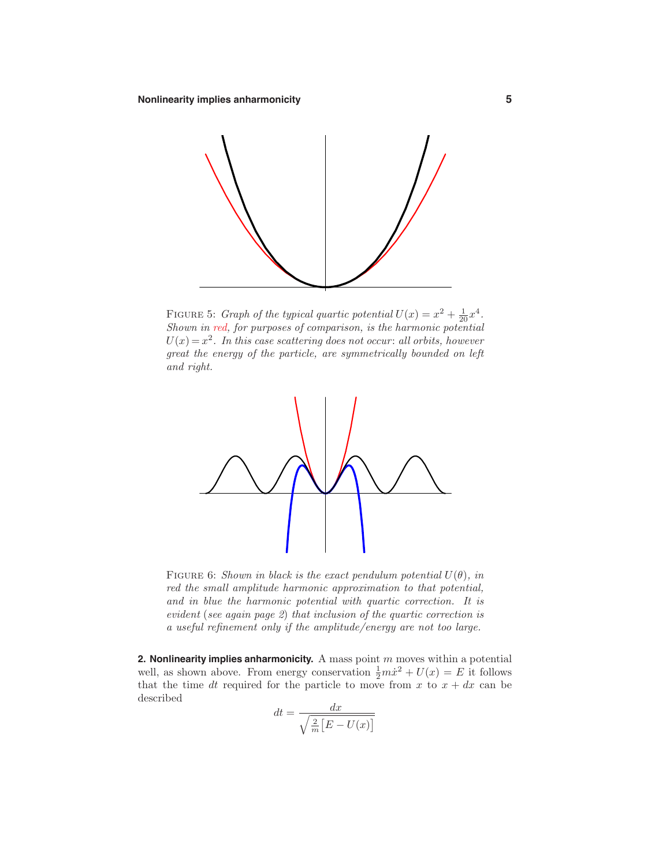

FIGURE 5: *Graph of the typical quartic potential*  $U(x) = x^2 + \frac{1}{20}x^4$ . Shown in red, for purposes of comparison, is the harmonic potential  $U(x) = x^2$ . In this case scattering does not occur: all orbits, however great the energy of the particle, are symmetrically bounded on left and right.



FIGURE 6: Shown in black is the exact pendulum potential  $U(\theta)$ , in red the small amplitude harmonic approximation to that potential, and in blue the harmonic potential with quartic correction. It is evident (see again page 2) that inclusion of the quartic correction is a useful refinement only if the amplitude/energy are not too large.

**2. Nonlinearity implies anharmonicity.** A mass point *m* moves within a potential well, as shown above. From energy conservation  $\frac{1}{2}m\dot{x}^2 + U(x) = E$  it follows that the time *dt* required for the particle to move from  $x$  to  $x + dx$  can be described

$$
dt = \frac{dx}{\sqrt{\frac{2}{m}\left[E - U(x)\right]}}
$$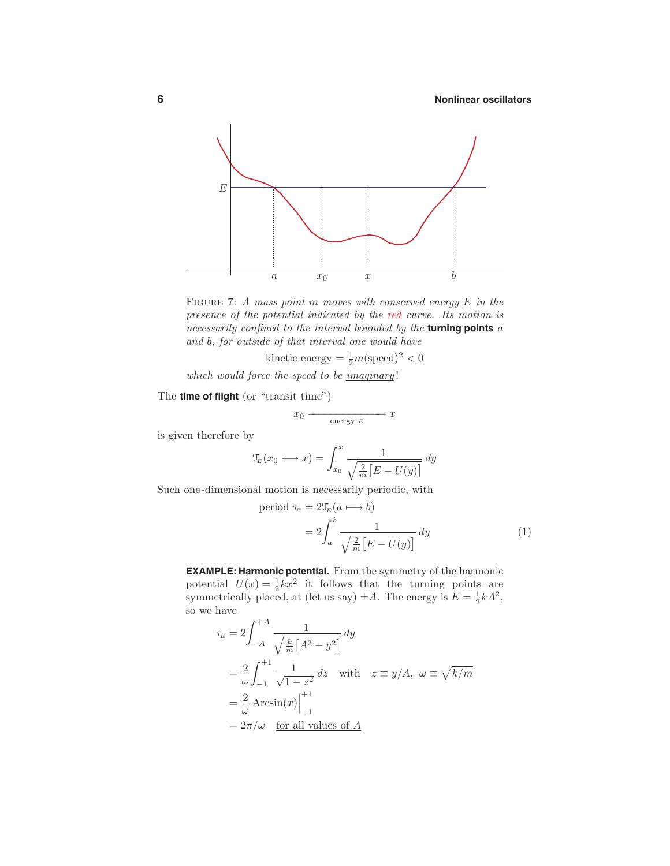

Figure 7: A mass point *m* moves with conserved energy *E* in the presence of the potential indicated by the red curve. Its motion is necessarily confined to the interval bounded by the **turning points** *a* and *b*, for outside of that interval one would have

kinetic energy  $= \frac{1}{2}m(\text{speed})^2 < 0$ 

which would force the speed to be  $\overline{imaginary}!$ 

The **time of flight** (or "transit time")

$$
x_0 \xrightarrow{\text{energy } E} x
$$

is given therefore by

$$
\mathfrak{T}_E(x_0 \longmapsto x) = \int_{x_0}^x \frac{1}{\sqrt{\frac{2}{m} \left[ E - U(y) \right]}} dy
$$

Such one-dimensional motion is necessarily periodic, with

period 
$$
\tau_E = 2\mathcal{T}_E(a \longmapsto b)
$$
  
=  $2 \int_a^b \frac{1}{\sqrt{\frac{2}{m} [E - U(y)]}} dy$  (1)

**EXAMPLE: Harmonic potential.** From the symmetry of the harmonic potential  $U(x) = \frac{1}{2}kx^2$  it follows that the turning points are symmetrically placed, at (let us say)  $\pm A$ . The energy is  $E = \frac{1}{2}kA^2$ , so we have

$$
\tau_E = 2 \int_{-A}^{+A} \frac{1}{\sqrt{\frac{k}{m} \left[ A^2 - y^2 \right]}} dy
$$
  
=  $\frac{2}{\omega} \int_{-1}^{+1} \frac{1}{\sqrt{1 - z^2}} dz$  with  $z = y/A$ ,  $\omega = \sqrt{k/m}$   
=  $\frac{2}{\omega}$  Arcsin(x) $\Big|_{-1}^{+1}$   
=  $2\pi/\omega$  for all values of A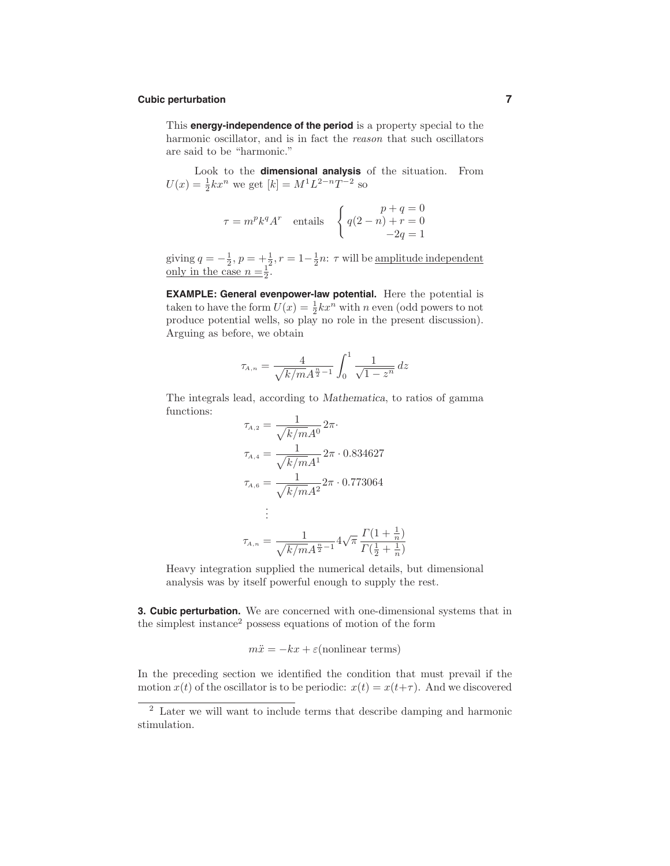# **Cubic perturbation 7**

This **energy-independence of the period** is a property special to the harmonic oscillator, and is in fact the reason that such oscillators are said to be "harmonic."

Look to the **dimensional analysis** of the situation. From  $U(x) = \frac{1}{2}kx^n$  we get  $[k] = M^1L^{2-n}T^{-2}$  so

$$
\tau = m^p k^q A^r
$$
 entails 
$$
\begin{cases} p+q = 0 \\ q(2-n) + r = 0 \\ -2q = 1 \end{cases}
$$

giving  $q = -\frac{1}{2}$ ,  $p = +\frac{1}{2}$ ,  $r = 1-\frac{1}{2}n$ :  $\tau$  will be <u>amplitude independent</u> only in the case  $n = \frac{1}{2}$ .

**EXAMPLE: General evenpower-law potential.** Here the potential is taken to have the form  $U(x) = \frac{1}{2}kx^n$  with *n* even (odd powers to not produce potential wells, so play no role in the present discussion). Arguing as before, we obtain

$$
\tau_{A,n} = \frac{4}{\sqrt{k/m}A^{\frac{n}{2}-1}} \int_0^1 \frac{1}{\sqrt{1-z^n}} \, dz
$$

The integrals lead, according to *Mathematica*, to ratios of gamma functions:

$$
\tau_{A,2} = \frac{1}{\sqrt{k/m}A^0} 2\pi.
$$
  
\n
$$
\tau_{A,4} = \frac{1}{\sqrt{k/m}A^1} 2\pi \cdot 0.834627
$$
  
\n
$$
\tau_{A,6} = \frac{1}{\sqrt{k/m}A^2} 2\pi \cdot 0.773064
$$
  
\n:  
\n:  
\n
$$
\tau_{A,n} = \frac{1}{\sqrt{k/m}A^{\frac{n}{2}-1}} 4\sqrt{\pi} \frac{\Gamma(1+\frac{1}{n})}{\Gamma(\frac{1}{2}+\frac{1}{n})}
$$

Heavy integration supplied the numerical details, but dimensional analysis was by itself powerful enough to supply the rest.

**3. Cubic perturbation.** We are concerned with one-dimensional systems that in the simplest instance<sup>2</sup> possess equations of motion of the form

$$
m\ddot{x} = -kx + \varepsilon(\text{nonlinear terms})
$$

In the preceding section we identified the condition that must prevail if the motion  $x(t)$  of the oscillator is to be periodic:  $x(t) = x(t+\tau)$ . And we discovered

<sup>2</sup> Later we will want to include terms that describe damping and harmonic stimulation.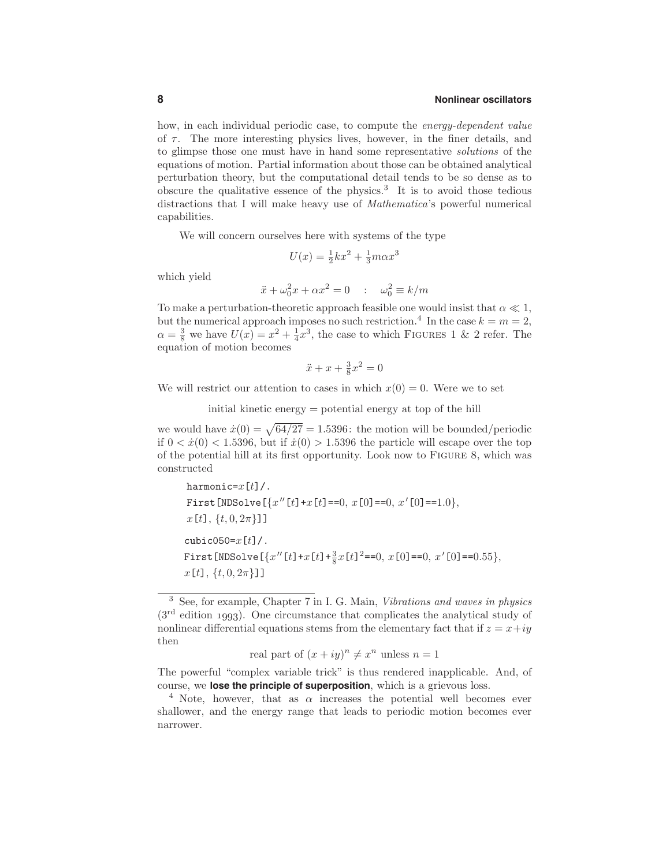how, in each individual periodic case, to compute the energy-dependent value of *τ* . The more interesting physics lives, however, in the finer details, and to glimpse those one must have in hand some representative solutions of the equations of motion. Partial information about those can be obtained analytical perturbation theory, but the computational detail tends to be so dense as to obscure the qualitative essence of the physics.<sup>3</sup> It is to avoid those tedious distractions that I will make heavy use of Mathematica's powerful numerical capabilities.

We will concern ourselves here with systems of the type

$$
U(x) = \frac{1}{2}kx^2 + \frac{1}{3}m\alpha x^3
$$

which yield

$$
\ddot{x} + \omega_0^2 x + \alpha x^2 = 0 \quad : \quad \omega_0^2 \equiv k/m
$$

To make a perturbation-theoretic approach feasible one would insist that  $\alpha \ll 1$ , but the numerical approach imposes no such restriction.<sup>4</sup> In the case  $k = m = 2$ ,  $\alpha = \frac{3}{8}$  we have  $U(x) = x^2 + \frac{1}{4}x^3$ , the case to which FIGURES 1 & 2 refer. The equation of motion becomes

$$
\ddot{x} + x + \frac{3}{8}x^2 = 0
$$

We will restrict our attention to cases in which  $x(0) = 0$ . Were we to set

initial kinetic energy = potential energy at top of the hill

we would have  $\dot{x}(0) = \sqrt{64/27} = 1.5396$ : the motion will be bounded/periodic if  $0 < \dot{x}(0) < 1.5396$ , but if  $\dot{x}(0) > 1.5396$  the particle will escape over the top of the potential hill at its first opportunity. Look now to Figure 8, which was constructed

```
harmonic=x[t]/.
 First[NDSolve[{x[t]+x[t]==0, x[0]==0, x
[0]==1.0},
x[t], {t, 0, 2π}]]
cubic050=x[t]/.
First[NDSolve[{x''[t]+x[t]+\frac{3}{8}x[t]<sup>2</sup>==0, x[0]==0, x'[0]==0.55},
x[t], {t, 0, 2π}]]
```

```
real part of (x + iy)^n \neq x^n unless n = 1
```
<sup>3</sup> See, for example, Chapter 7 in I. G. Main, Vibrations and waves in physics (3rd edition *1993*). One circumstance that complicates the analytical study of nonlinear differential equations stems from the elementary fact that if  $z = x + iy$ then

The powerful "complex variable trick" is thus rendered inapplicable. And, of course, we **lose the principle of superposition**, which is a grievous loss.

<sup>&</sup>lt;sup>4</sup> Note, however, that as  $\alpha$  increases the potential well becomes ever shallower, and the energy range that leads to periodic motion becomes ever narrower.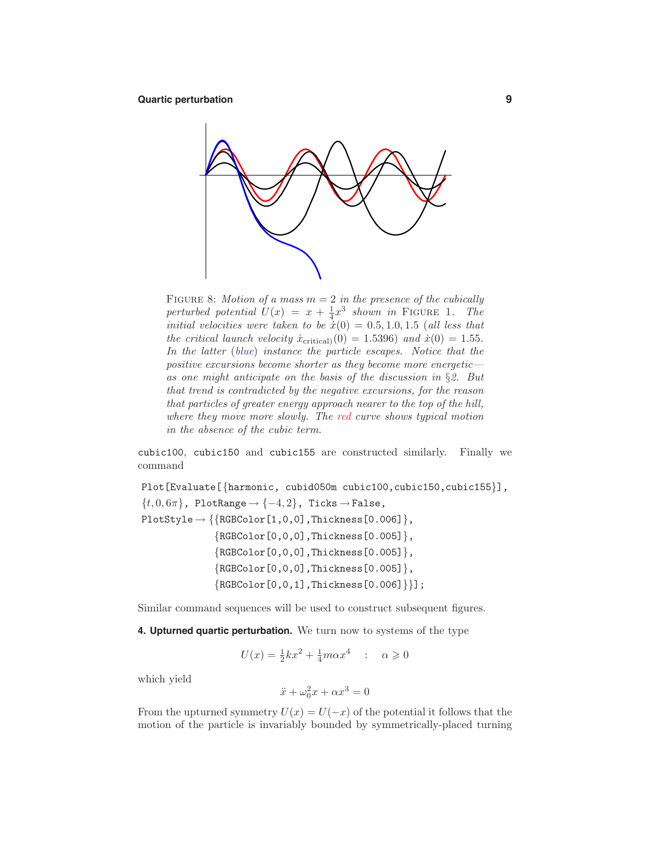

FIGURE 8: Motion of a mass  $m = 2$  in the presence of the cubically perturbed potential  $U(x) = x + \frac{1}{4}x^3$  shown in FIGURE 1. The initial velocities were taken to be  $\dot{x}(0) = 0.5, 1.0, 1.5$  (all less that the critical launch velocity  $\dot{x}_{\text{critical}}(0) = 1.5396$  and  $\dot{x}(0) = 1.55$ . In the latter (blue) instance the particle escapes. Notice that the positive excursions become shorter as they become more energetic as one might anticipate on the basis of the discussion in §2. But that trend is contradicted by the negative excursions, for the reason that particles of greater energy approach nearer to the top of the hill, where they move more slowly. The red curve shows typical motion in the absence of the cubic term.

cubic100, cubic150 and cubic155 are constructed similarly. Finally we command

Plot[Evaluate[{harmonic, cubid050m cubic100, cubic150, cubic155}],  $\{t, 0, 6\pi\}$ , PlotRange  $\rightarrow \{-4, 2\}$ , Ticks  $\rightarrow$  False,  $PlotStyle \rightarrow \{\{RGEColor[1,0,0],Thickness[0.006]\},\}$  ${RGEColor[0,0,0], Thickness[0.005]},$ {RGBColor[0,0,0],Thickness[0.005]},  ${RGEColor[0,0,0], Thickness[0.005]},$  ${RGEColor[0,0,1], Thickness[0.006]}\;$ 

Similar command sequences will be used to construct subsequent figures.

**4. Upturned quartic perturbation.** We turn now to systems of the type

$$
U(x) = \frac{1}{2}kx^2 + \frac{1}{4}m\alpha x^4 \quad : \quad \alpha \geqslant 0
$$

which yield

$$
\ddot{x} + \omega_0^2 x + \alpha x^3 = 0
$$

From the upturned symmetry  $U(x) = U(-x)$  of the potential it follows that the motion of the particle is invariably bounded by symmetrically-placed turning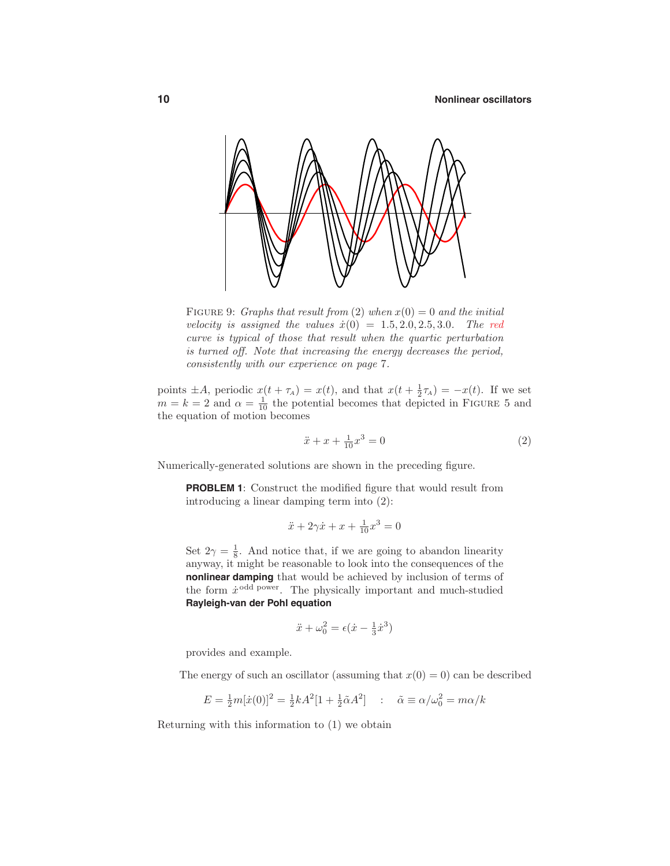

FIGURE 9: Graphs that result from (2) when  $x(0) = 0$  and the initial velocity is assigned the values  $\dot{x}(0) = 1.5, 2.0, 2.5, 3.0$ . The red curve is typical of those that result when the quartic perturbation is turned off. Note that increasing the energy decreases the period, consistently with our experience on page 7.

points  $\pm A$ , periodic  $x(t + \tau_A) = x(t)$ , and that  $x(t + \frac{1}{2}\tau_A) = -x(t)$ . If we set  $m = k = 2$  and  $\alpha = \frac{1}{10}$  the potential becomes that depicted in FIGURE 5 and the equation of motion becomes

$$
\ddot{x} + x + \frac{1}{10}x^3 = 0\tag{2}
$$

Numerically-generated solutions are shown in the preceding figure.

**PROBLEM 1**: Construct the modified figure that would result from introducing a linear damping term into (2):

$$
\ddot{x} + 2\gamma \dot{x} + x + \frac{1}{10}x^3 = 0
$$

Set  $2\gamma = \frac{1}{8}$ . And notice that, if we are going to abandon linearity anyway, it might be reasonable to look into the consequences of the **nonlinear damping** that would be achieved by inclusion of terms of the form  $\dot{x}^{\text{odd power}}$ . The physically important and much-studied **Rayleigh-van der Pohl equation**

$$
\ddot{x} + \omega_0^2 = \epsilon(\dot{x} - \frac{1}{3}\dot{x}^3)
$$

provides and example.

The energy of such an oscillator (assuming that  $x(0) = 0$ ) can be described

$$
E = \frac{1}{2}m[\dot{x}(0)]^2 = \frac{1}{2}kA^2[1 + \frac{1}{2}\tilde{\alpha}A^2] \quad : \quad \tilde{\alpha} \equiv \alpha/\omega_0^2 = m\alpha/k
$$

Returning with this information to (1) we obtain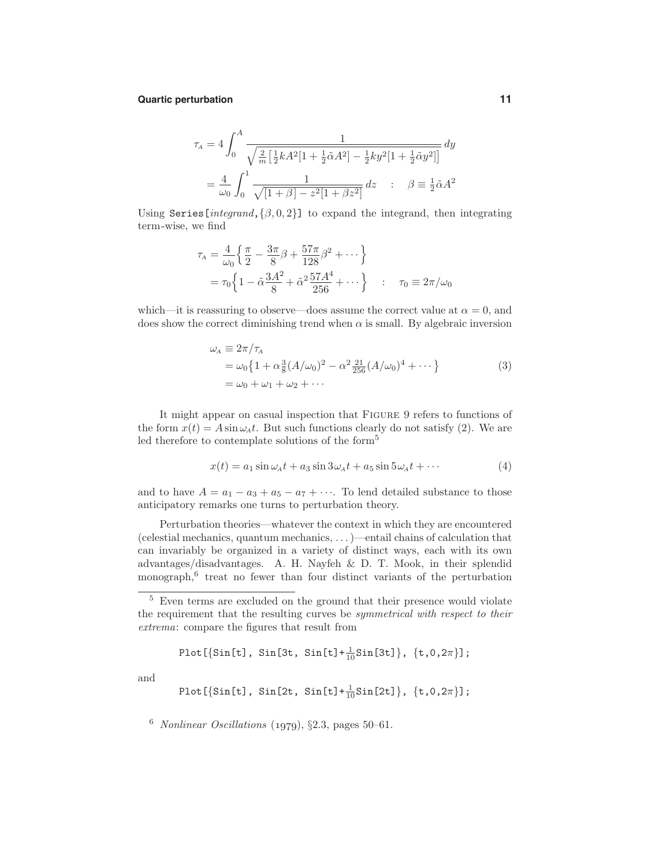#### **Quartic perturbation 11**

$$
\tau_A = 4 \int_0^A \frac{1}{\sqrt{\frac{2}{m} \left[ \frac{1}{2} k A^2 \left[ 1 + \frac{1}{2} \tilde{\alpha} A^2 \right] - \frac{1}{2} k y^2 \left[ 1 + \frac{1}{2} \tilde{\alpha} y^2 \right] \right]}} dy
$$
  
=  $\frac{4}{\omega_0} \int_0^1 \frac{1}{\sqrt{\left[ 1 + \beta \right] - z^2 \left[ 1 + \beta z^2 \right]}} dz$  :  $\beta = \frac{1}{2} \tilde{\alpha} A^2$ 

Using Series[ $interand, \{\beta, 0, 2\}$ ] to expand the integrand, then integrating term-wise, we find

$$
\tau_A = \frac{4}{\omega_0} \left\{ \frac{\pi}{2} - \frac{3\pi}{8} \beta + \frac{57\pi}{128} \beta^2 + \cdots \right\}
$$
  
=  $\tau_0 \left\{ 1 - \tilde{\alpha} \frac{3A^2}{8} + \tilde{\alpha}^2 \frac{57A^4}{256} + \cdots \right\} \quad : \quad \tau_0 \equiv 2\pi/\omega_0$ 

which—it is reassuring to observe—does assume the correct value at  $\alpha = 0$ , and does show the correct diminishing trend when  $\alpha$  is small. By algebraic inversion

$$
\omega_A \equiv 2\pi/\tau_A \n= \omega_0 \left\{ 1 + \alpha \frac{3}{8} (A/\omega_0)^2 - \alpha^2 \frac{21}{256} (A/\omega_0)^4 + \cdots \right\} \n= \omega_0 + \omega_1 + \omega_2 + \cdots
$$
\n(3)

It might appear on casual inspection that Figure 9 refers to functions of the form  $x(t) = A \sin \omega_A t$ . But such functions clearly do not satisfy (2). We are led therefore to contemplate solutions of the form<sup>5</sup>

$$
x(t) = a_1 \sin \omega_A t + a_3 \sin 3\omega_A t + a_5 \sin 5\omega_A t + \cdots \tag{4}
$$

and to have  $A = a_1 - a_3 + a_5 - a_7 + \cdots$ . To lend detailed substance to those anticipatory remarks one turns to perturbation theory.

Perturbation theories—whatever the context in which they are encountered (celestial mechanics, quantum mechanics, *...*)—entail chains of calculation that can invariably be organized in a variety of distinct ways, each with its own advantages/disadvantages. A. H. Nayfeh & D. T. Mook, in their splendid monograph, $6$  treat no fewer than four distinct variants of the perturbation

Plot[{Sin[t], Sin[3t, Sin[t]+ <sup>1</sup> <sup>10</sup> Sin[3t]}, {t,0,2*π*}];

and

$$
\text{Plot}[\{\sin[\text{t}], \, \sin[\text{2t}, \, \sin[\text{t}] + \frac{1}{10}\sin[\text{2t}]\}, \, {\text{t},0,2\pi}\};
$$

<sup>6</sup> Nonlinear Oscillations (*1979*), §2.3, pages 50–61.

<sup>5</sup> Even terms are excluded on the ground that their presence would violate the requirement that the resulting curves be *symmetrical with respect to their* extrema: compare the figures that result from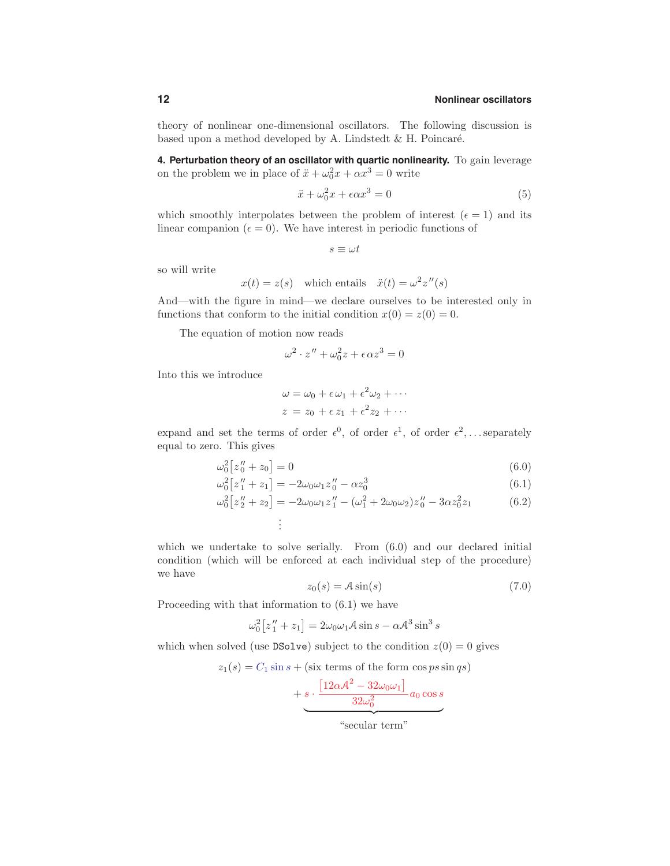theory of nonlinear one-dimensional oscillators. The following discussion is based upon a method developed by A. Lindstedt  $&$  H. Poincaré.

**4. Perturbation theory of an oscillator with quartic nonlinearity.** To gain leverage on the problem we in place of  $\ddot{x} + \omega_0^2 x + \alpha x^3 = 0$  write

$$
\ddot{x} + \omega_0^2 x + \epsilon \alpha x^3 = 0 \tag{5}
$$

which smoothly interpolates between the problem of interest  $(\epsilon = 1)$  and its linear companion ( $\epsilon = 0$ ). We have interest in periodic functions of

$$
s\equiv \omega t
$$

so will write

$$
x(t) = z(s)
$$
 which entails  $\ddot{x}(t) = \omega^2 z''(s)$ 

And—with the figure in mind—we declare ourselves to be interested only in functions that conform to the initial condition  $x(0) = z(0) = 0$ .

The equation of motion now reads

$$
\omega^2 \cdot z'' + \omega_0^2 z + \epsilon \alpha z^3 = 0
$$

Into this we introduce

$$
\omega = \omega_0 + \epsilon \omega_1 + \epsilon^2 \omega_2 + \cdots
$$
  

$$
z = z_0 + \epsilon z_1 + \epsilon^2 z_2 + \cdots
$$

expand and set the terms of order  $\epsilon^0$ , of order  $\epsilon^1$ , of order  $\epsilon^2$ ,... separately equal to zero. This gives

$$
\omega_0^2 \big[ z_0'' + z_0 \big] = 0 \tag{6.0}
$$

$$
\omega_0^2 \left[ z_1'' + z_1 \right] = -2\omega_0 \omega_1 z_0'' - \alpha z_0^3 \tag{6.1}
$$

$$
\omega_0^2 \left[ z_2'' + z_2 \right] = -2\omega_0 \omega_1 z_1'' - (\omega_1^2 + 2\omega_0 \omega_2) z_0'' - 3\alpha z_0^2 z_1 \tag{6.2}
$$
  
...

which we undertake to solve serially. From  $(6.0)$  and our declared initial condition (which will be enforced at each individual step of the procedure) we have

$$
z_0(s) = A\sin(s) \tag{7.0}
$$

Proceeding with that information to (6.1) we have

$$
\omega_0^2[z_1'' + z_1] = 2\omega_0\omega_1 A \sin s - \alpha A^3 \sin^3 s
$$

which when solved (use DSolve) subject to the condition  $z(0) = 0$  gives

$$
z_1(s) = C_1 \sin s + (\text{six terms of the form } \cos ps \sin qs)
$$

$$
+\underbrace{s\cdot\frac{[12\alpha\mathcal{A}^2-32\omega_0\omega_1]}{32\omega_0^2}a_0\cos s}
$$

"secular term"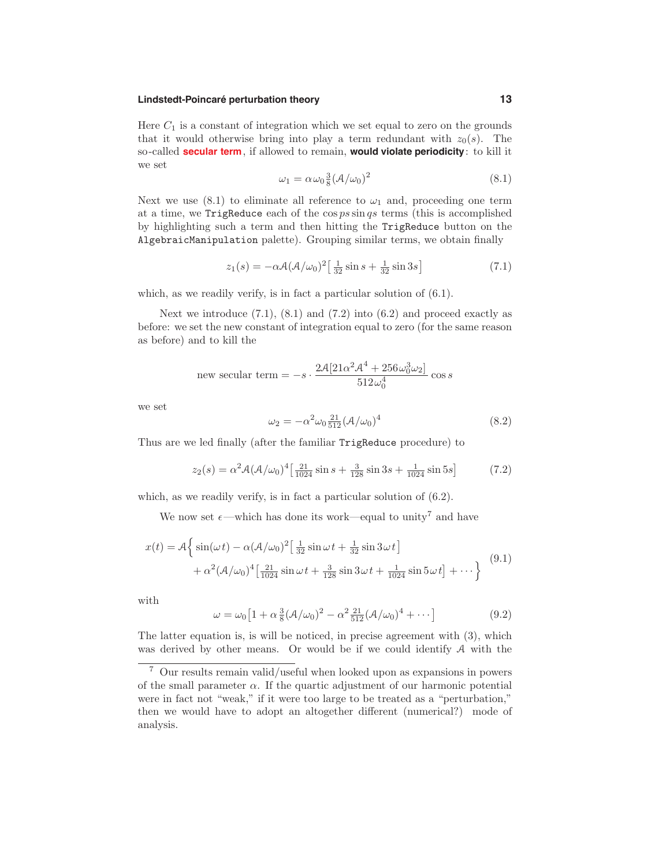# **Lindstedt-Poincaré perturbation theory 13**

Here  $C_1$  is a constant of integration which we set equal to zero on the grounds that it would otherwise bring into play a term redundant with  $z_0(s)$ . The so-called **secular term**, if allowed to remain, **would violate periodicity**: to kill it we set

$$
\omega_1 = \alpha \omega_0 \frac{3}{8} (\mathcal{A}/\omega_0)^2 \tag{8.1}
$$

Next we use  $(8.1)$  to eliminate all reference to  $\omega_1$  and, proceeding one term at a time, we TrigReduce each of the cos *ps* sin *qs* terms (this is accomplished by highlighting such a term and then hitting the TrigReduce button on the AlgebraicManipulation palette). Grouping similar terms, we obtain finally

$$
z_1(s) = -\alpha \mathcal{A} (\mathcal{A}/\omega_0)^2 \left[ \frac{1}{32} \sin s + \frac{1}{32} \sin 3s \right]
$$
 (7.1)

which, as we readily verify, is in fact a particular solution of  $(6.1)$ .

Next we introduce  $(7.1)$ ,  $(8.1)$  and  $(7.2)$  into  $(6.2)$  and proceed exactly as before: we set the new constant of integration equal to zero (for the same reason as before) and to kill the

new secular term = 
$$
-s \cdot \frac{2\mathcal{A}[21\alpha^2\mathcal{A}^4 + 256\omega_0^3\omega_2]}{512\omega_0^4} \cos s
$$

we set

$$
\omega_2 = -\alpha^2 \omega_0 \frac{21}{512} (\mathcal{A}/\omega_0)^4 \tag{8.2}
$$

Thus are we led finally (after the familiar TrigReduce procedure) to

$$
z_2(s) = \alpha^2 \mathcal{A} (\mathcal{A}/\omega_0)^4 \left[ \frac{21}{1024} \sin s + \frac{3}{128} \sin 3s + \frac{1}{1024} \sin 5s \right]
$$
(7.2)

which, as we readily verify, is in fact a particular solution of  $(6.2)$ .

We now set  $\epsilon$ —which has done its work—equal to unity<sup>7</sup> and have

$$
x(t) = A \left\{ \sin(\omega t) - \alpha (A/\omega_0)^2 \left[ \frac{1}{32} \sin \omega t + \frac{1}{32} \sin 3\omega t \right] + \alpha^2 (A/\omega_0)^4 \left[ \frac{21}{1024} \sin \omega t + \frac{3}{128} \sin 3\omega t + \frac{1}{1024} \sin 5\omega t \right] + \cdots \right\}
$$
(9.1)

with

$$
\omega = \omega_0 \left[ 1 + \alpha \frac{3}{8} (\mathcal{A}/\omega_0)^2 - \alpha^2 \frac{21}{512} (\mathcal{A}/\omega_0)^4 + \cdots \right] \tag{9.2}
$$

The latter equation is, is will be noticed, in precise agreement with (3), which was derived by other means. Or would be if we could identify A with the

<sup>7</sup> Our results remain valid/useful when looked upon as expansions in powers of the small parameter  $\alpha$ . If the quartic adjustment of our harmonic potential were in fact not "weak," if it were too large to be treated as a "perturbation," then we would have to adopt an altogether different (numerical?) mode of analysis.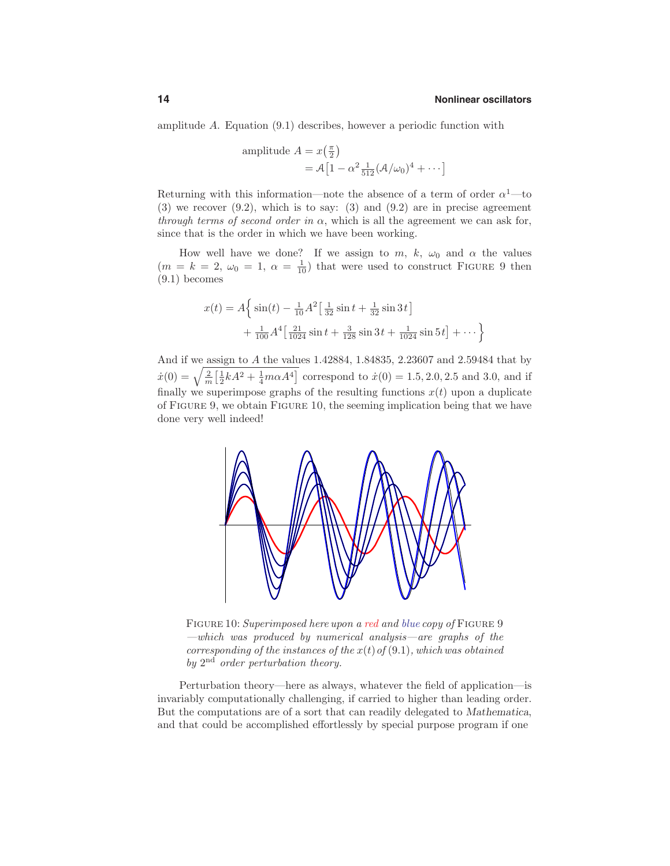amplitude *A*. Equation (9.1) describes, however a periodic function with

amplitude 
$$
A = x(\frac{\pi}{2})
$$
  
=  $A[1 - \alpha^2 \frac{1}{512} (\mathcal{A}/\omega_0)^4 + \cdots]$ 

Returning with this information—note the absence of a term of order  $\alpha^1$ —to  $(3)$  we recover  $(9.2)$ , which is to say:  $(3)$  and  $(9.2)$  are in precise agreement through terms of second order in  $\alpha$ , which is all the agreement we can ask for, since that is the order in which we have been working.

How well have we done? If we assign to  $m, k, \omega_0$  and  $\alpha$  the values  $(m = k = 2, \omega_0 = 1, \alpha = \frac{1}{10})$  that were used to construct FIGURE 9 then (9.1) becomes

$$
x(t) = A \left\{ \sin(t) - \frac{1}{10} A^2 \left[ \frac{1}{32} \sin t + \frac{1}{32} \sin 3t \right] + \frac{1}{100} A^4 \left[ \frac{21}{1024} \sin t + \frac{3}{128} \sin 3t + \frac{1}{1024} \sin 5t \right] + \cdots \right\}
$$

And if we assign to *A* the values 1.42884, 1.84835, 2.23607 and 2.59484 that by  $\dot{x}(0) = \sqrt{\frac{2}{m} \left[\frac{1}{2}kA^2 + \frac{1}{4}m\alpha A^4\right]}$  correspond to  $\dot{x}(0) = 1.5, 2.0, 2.5$  and 3.0, and if finally we superimpose graphs of the resulting functions  $x(t)$  upon a duplicate of Figure 9, we obtain Figure 10, the seeming implication being that we have done very well indeed!



FIGURE 10: Superimposed here upon a red and blue copy of FIGURE 9 —which was produced by numerical analysis—are graphs of the corresponding of the instances of the  $x(t)$  of  $(9.1)$ , which was obtained by  $2<sup>nd</sup>$  order perturbation theory.

Perturbation theory—here as always, whatever the field of application—is invariably computationally challenging, if carried to higher than leading order. But the computations are of a sort that can readily delegated to *Mathematica*, and that could be accomplished effortlessly by special purpose program if one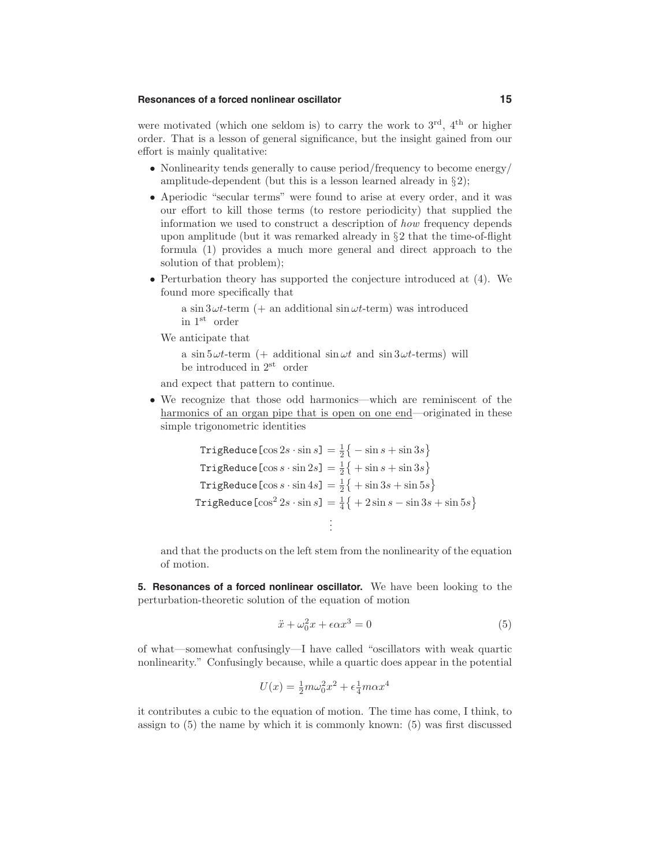# **Resonances of a forced nonlinear oscillator 15**

were motivated (which one seldom is) to carry the work to  $3<sup>rd</sup>$ ,  $4<sup>th</sup>$  or higher order. That is a lesson of general significance, but the insight gained from our effort is mainly qualitative:

- Nonlinearity tends generally to cause period/frequency to become energy/ amplitude-dependent (but this is a lesson learned already in  $\S 2$ );
- Aperiodic "secular terms" were found to arise at every order, and it was our effort to kill those terms (to restore periodicity) that supplied the information we used to construct a description of how frequency depends upon amplitude (but it was remarked already in  $\S 2$  that the time-of-flight formula (1) provides a much more general and direct approach to the solution of that problem);
- Perturbation theory has supported the conjecture introduced at (4). We found more specifically that

a sin  $3\omega t$ -term (+ an additional sin  $\omega t$ -term) was introduced in 1st order

We anticipate that

a sin  $5\omega t$ -term (+ additional sin  $\omega t$  and sin  $3\omega t$ -terms) will be introduced in 2st order

and expect that pattern to continue.

• We recognize that those odd harmonics—which are reminiscent of the harmonics of an organ pipe that is open on one end—originated in these simple trigonometric identities

$$
\begin{aligned}\n\text{TrigReduce}[\cos 2s \cdot \sin s] &= \frac{1}{2} \left\{ -\sin s + \sin 3s \right\} \\
\text{TrigReduce}[\cos s \cdot \sin 2s] &= \frac{1}{2} \left\{ + \sin s + \sin 3s \right\} \\
\text{TrigReduce}[\cos s \cdot \sin 4s] &= \frac{1}{2} \left\{ + \sin 3s + \sin 5s \right\} \\
\text{TrigReduce}[\cos^2 2s \cdot \sin s] &= \frac{1}{4} \left\{ +2 \sin s - \sin 3s + \sin 5s \right\} \\
&\vdots\n\end{aligned}
$$

and that the products on the left stem from the nonlinearity of the equation of motion.

**5. Resonances of a forced nonlinear oscillator.** We have been looking to the perturbation-theoretic solution of the equation of motion

$$
\ddot{x} + \omega_0^2 x + \epsilon \alpha x^3 = 0 \tag{5}
$$

of what—somewhat confusingly—I have called "oscillators with weak quartic nonlinearity." Confusingly because, while a quartic does appear in the potential

$$
U(x) = \frac{1}{2}m\omega_0^2 x^2 + \epsilon \frac{1}{4}m\alpha x^4
$$

it contributes a cubic to the equation of motion. The time has come, I think, to assign to (5) the name by which it is commonly known: (5) was first discussed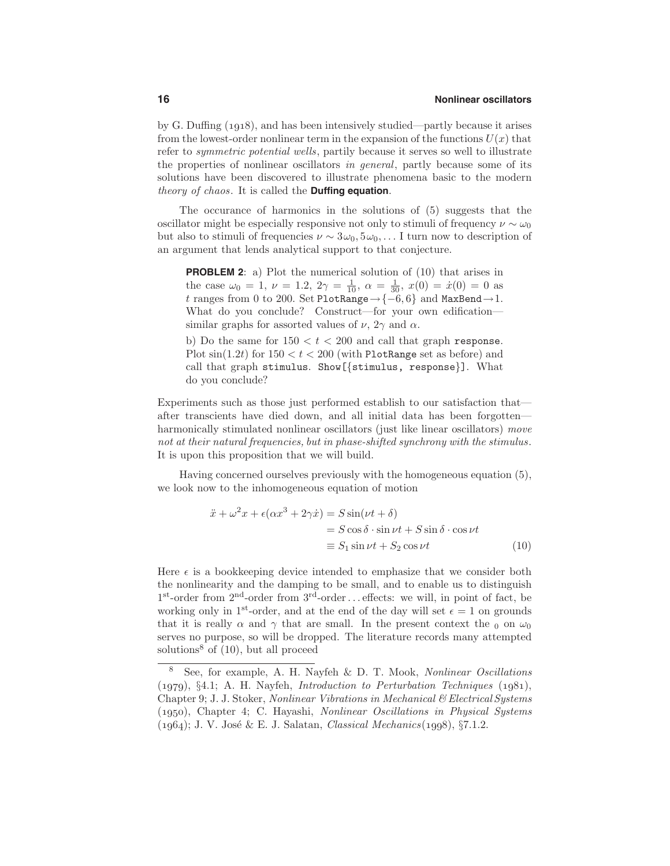by G. Duffing (*1918*), and has been intensively studied—partly because it arises from the lowest-order nonlinear term in the expansion of the functions  $U(x)$  that refer to symmetric potential wells, partily because it serves so well to illustrate the properties of nonlinear oscillators in general, partly because some of its solutions have been discovered to illustrate phenomena basic to the modern theory of chaos. It is called the **Duffing equation**.

The occurance of harmonics in the solutions of (5) suggests that the oscillator might be especially responsive not only to stimuli of frequency  $\nu \sim \omega_0$ but also to stimuli of frequencies  $\nu \sim 3\omega_0, 5\omega_0, \ldots$  I turn now to description of an argument that lends analytical support to that conjecture.

**PROBLEM 2**: a) Plot the numerical solution of (10) that arises in the case  $\omega_0 = 1$ ,  $\nu = 1.2$ ,  $2\gamma = \frac{1}{10}$ ,  $\alpha = \frac{1}{30}$ ,  $x(0) = \dot{x}(0) = 0$  as *t* ranges from 0 to 200. Set PlotRange→{−6*,* 6} and MaxBend→1. What do you conclude? Construct—for your own edification similar graphs for assorted values of  $\nu$ ,  $2\gamma$  and  $\alpha$ .

b) Do the same for  $150 < t < 200$  and call that graph response. Plot  $\sin(1.2t)$  for  $150 < t < 200$  (with PlotRange set as before) and call that graph stimulus. Show[{stimulus, response}]. What do you conclude?

Experiments such as those just performed establish to our satisfaction that after transcients have died down, and all initial data has been forgotten harmonically stimulated nonlinear oscillators (just like linear oscillators) move not at their natural frequencies, but in phase-shifted synchrony with the stimulus. It is upon this proposition that we will build.

Having concerned ourselves previously with the homogeneous equation (5), we look now to the inhomogeneous equation of motion

$$
\ddot{x} + \omega^2 x + \epsilon(\alpha x^3 + 2\gamma \dot{x}) = S \sin(\nu t + \delta)
$$
  
=  $S \cos \delta \cdot \sin \nu t + S \sin \delta \cdot \cos \nu t$   
=  $S_1 \sin \nu t + S_2 \cos \nu t$  (10)

Here  $\epsilon$  is a bookkeeping device intended to emphasize that we consider both the nonlinearity and the damping to be small, and to enable us to distinguish 1st-order from 2nd-order from 3rd-order*...* effects: we will, in point of fact, be working only in 1<sup>st</sup>-order, and at the end of the day will set  $\epsilon = 1$  on grounds that it is really  $\alpha$  and  $\gamma$  that are small. In the present context the <sub>0</sub> on  $\omega_0$ serves no purpose, so will be dropped. The literature records many attempted solutions<sup>8</sup> of  $(10)$ , but all proceed

<sup>8</sup> See, for example, A. H. Nayfeh & D. T. Mook, Nonlinear Oscillations (*1979*), §4.1; A. H. Nayfeh, Introduction to Perturbation Techniques (*1981*), Chapter 9; J. J. Stoker, Nonlinear Vibrations in Mechanical & Electrical Systems (*1950*), Chapter 4; C. Hayashi, Nonlinear Oscillations in Physical Systems (*1964*); J. V. Jos´e & E. J. Salatan, Classical Mechanics(*1998*), §7.1.2.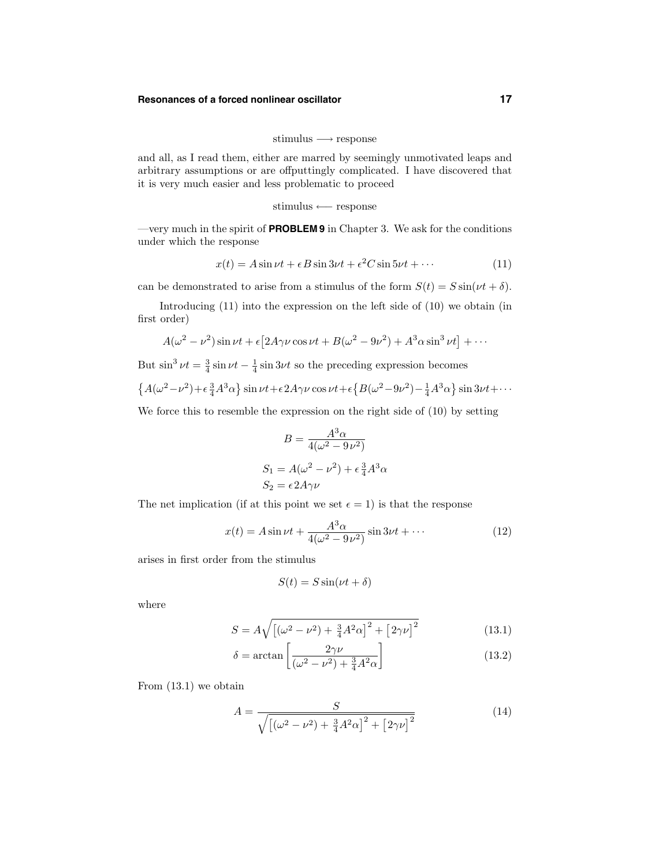## **Resonances of a forced nonlinear oscillator 17**

$$
stimulus \longrightarrow response
$$

and all, as I read them, either are marred by seemingly unmotivated leaps and arbitrary assumptions or are offputtingly complicated. I have discovered that it is very much easier and less problematic to proceed

$$
stimulus \longleftarrow response
$$

—very much in the spirit of **PROBLEM 9** in Chapter 3. We ask for the conditions under which the response

$$
x(t) = A\sin \nu t + \epsilon B \sin 3\nu t + \epsilon^2 C \sin 5\nu t + \cdots
$$
 (11)

can be demonstrated to arise from a stimulus of the form  $S(t) = S \sin(\nu t + \delta)$ .

Introducing  $(11)$  into the expression on the left side of  $(10)$  we obtain (in first order)

$$
A(\omega^2 - \nu^2)\sin \nu t + \epsilon \left[2A\gamma\nu\cos \nu t + B(\omega^2 - 9\nu^2) + A^3\alpha\sin^3 \nu t\right] + \cdots
$$

But  $\sin^3 \nu t = \frac{3}{4} \sin \nu t - \frac{1}{4} \sin 3\nu t$  so the preceding expression becomes

$$
\left\{A(\omega^2-\nu^2)+\epsilon\frac{3}{4}A^3\alpha\right\}\sin\nu t+\epsilon 2A\gamma\nu\cos\nu t+\epsilon\left\{B(\omega^2-9\nu^2)-\frac{1}{4}A^3\alpha\right\}\sin 3\nu t+\cdots\right\}
$$

We force this to resemble the expression on the right side of (10) by setting

$$
B = \frac{A^3 \alpha}{4(\omega^2 - 9\nu^2)}
$$
  
\n
$$
S_1 = A(\omega^2 - \nu^2) + \epsilon \frac{3}{4} A^3 \alpha
$$
  
\n
$$
S_2 = \epsilon 2A\gamma\nu
$$

The net implication (if at this point we set  $\epsilon = 1$ ) is that the response

$$
x(t) = A\sin\nu t + \frac{A^3\alpha}{4(\omega^2 - 9\nu^2)}\sin 3\nu t + \cdots
$$
 (12)

arises in first order from the stimulus

$$
S(t) = S\sin(\nu t + \delta)
$$

where

$$
S = A\sqrt{\left[ (\omega^2 - \nu^2) + \frac{3}{4}A^2\alpha \right]^2 + \left[ 2\gamma\nu \right]^2}
$$
 (13.1)

$$
\delta = \arctan\left[\frac{2\gamma\nu}{(\omega^2 - \nu^2) + \frac{3}{4}A^2\alpha}\right]
$$
\n(13.2)

From (13.1) we obtain

$$
A = \frac{S}{\sqrt{\left[ (\omega^2 - \nu^2) + \frac{3}{4} A^2 \alpha \right]^2 + \left[ 2 \gamma \nu \right]^2}}
$$
(14)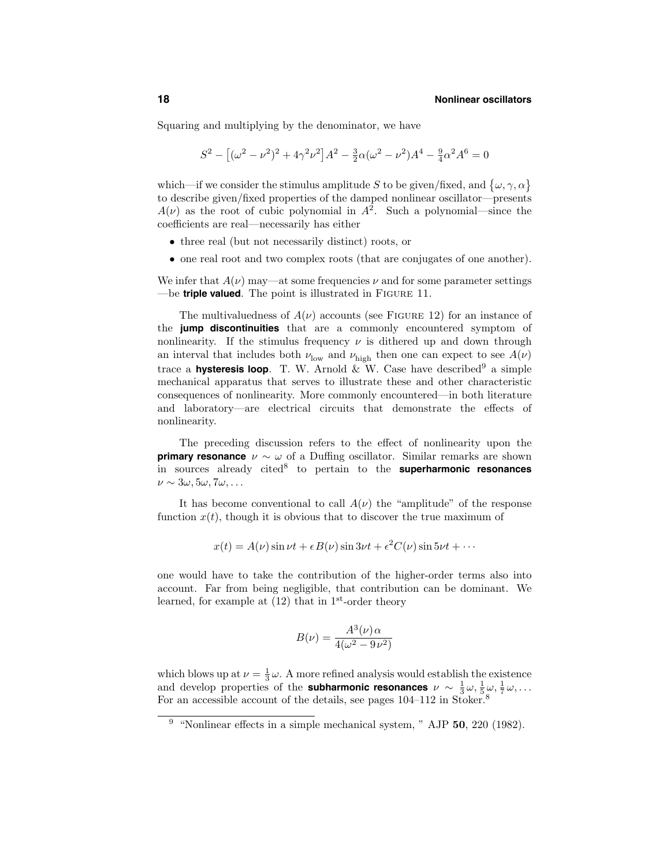Squaring and multiplying by the denominator, we have

$$
S^{2} - \left[ (\omega^{2} - \nu^{2})^{2} + 4\gamma^{2}\nu^{2} \right] A^{2} - \frac{3}{2}\alpha(\omega^{2} - \nu^{2}) A^{4} - \frac{9}{4}\alpha^{2}A^{6} = 0
$$

which—if we consider the stimulus amplitude S to be given/fixed, and  $\{\omega, \gamma, \alpha\}$ to describe given/fixed properties of the damped nonlinear oscillator—presents  $A(\nu)$  as the root of cubic polynomial in  $A^2$ . Such a polynomial—since the coefficients are real—necessarily has either

- three real (but not necessarily distinct) roots, or
- one real root and two complex roots (that are conjugates of one another).

We infer that  $A(\nu)$  may—at some frequencies  $\nu$  and for some parameter settings —be **triple valued**. The point is illustrated in Figure 11.

The multivaluedness of  $A(\nu)$  accounts (see FIGURE 12) for an instance of the **jump discontinuities** that are a commonly encountered symptom of nonlinearity. If the stimulus frequency  $\nu$  is dithered up and down through an interval that includes both  $\nu_{\text{low}}$  and  $\nu_{\text{high}}$  then one can expect to see  $A(\nu)$ trace a **hysteresis loop**. T. W. Arnold  $\&\mathbf{W}$ . Case have described<sup>9</sup> a simple mechanical apparatus that serves to illustrate these and other characteristic consequences of nonlinearity. More commonly encountered—in both literature and laboratory—are electrical circuits that demonstrate the effects of nonlinearity.

The preceding discussion refers to the effect of nonlinearity upon the **primary resonance**  $\nu \sim \omega$  of a Duffing oscillator. Similar remarks are shown in sources already cited<sup>8</sup> to pertain to the **superharmonic resonances**  $\nu \sim 3\omega, 5\omega, 7\omega, \ldots$ 

It has become conventional to call  $A(\nu)$  the "amplitude" of the response function  $x(t)$ , though it is obvious that to discover the true maximum of

$$
x(t) = A(\nu)\sin \nu t + \epsilon B(\nu)\sin 3\nu t + \epsilon^2 C(\nu)\sin 5\nu t + \cdots
$$

one would have to take the contribution of the higher-order terms also into account. Far from being negligible, that contribution can be dominant. We learned, for example at  $(12)$  that in 1<sup>st</sup>-order theory

$$
B(\nu) = \frac{A^3(\nu)\alpha}{4(\omega^2 - 9\nu^2)}
$$

which blows up at  $\nu = \frac{1}{3}\omega$ . A more refined analysis would establish the existence and develop properties of the **subharmonic resonances**  $\nu \sim \frac{1}{3}\omega, \frac{1}{5}\omega, \frac{1}{7}\omega, \ldots$ For an accessible account of the details, see pages  $104-112$  in Stoker.<sup>8</sup>

<sup>9</sup> "Nonlinear effects in a simple mechanical system, " AJP **50**, 220 (1982).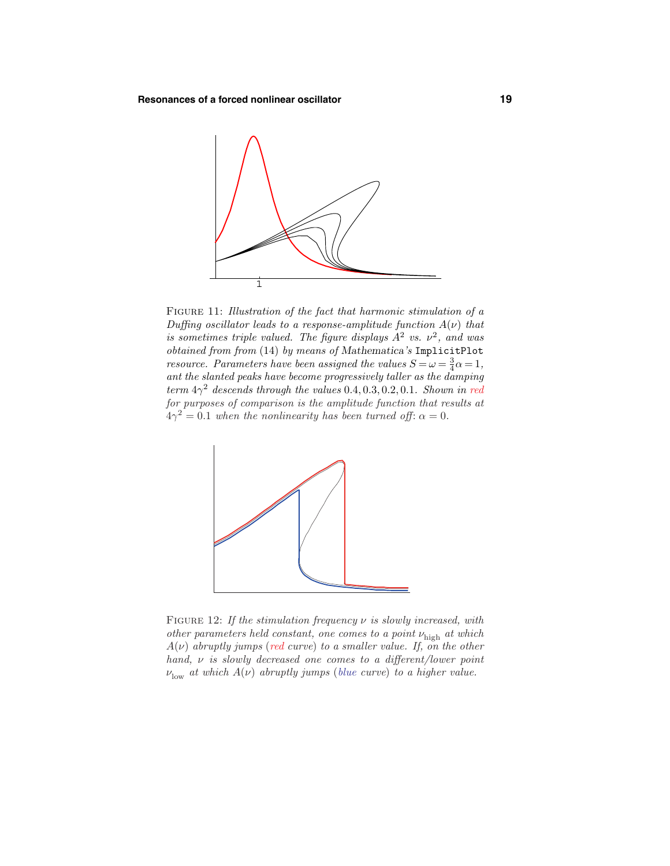

FIGURE 11: Illustration of the fact that harmonic stimulation of a Duffing oscillator leads to a response-amplitude function  $A(\nu)$  that is sometimes triple valued. The figure displays  $A^2$  vs.  $\nu^2$ , and was obtained from from (14) by means of *Mathematica*'s ImplicitPlot *resource. Parameters have been assigned the values*  $S = \omega = \frac{3}{4}\alpha = 1$ , ant the slanted peaks have become progressively taller as the damping term  $4\gamma^2$  descends through the values 0.4, 0.3, 0.2, 0.1. Shown in red for purposes of comparison is the amplitude function that results at  $4\gamma^2 = 0.1$  when the nonlinearity has been turned off:  $\alpha = 0$ .



Figure 12: If the stimulation frequency *ν* is slowly increased, with other parameters held constant, one comes to a point *ν*high at which  $A(\nu)$  abruptly jumps (red curve) to a smaller value. If, on the other hand, *ν* is slowly decreased one comes to a different/lower point  $\nu_{\text{low}}$  *at which*  $A(\nu)$  abruptly jumps (blue curve) to a higher value.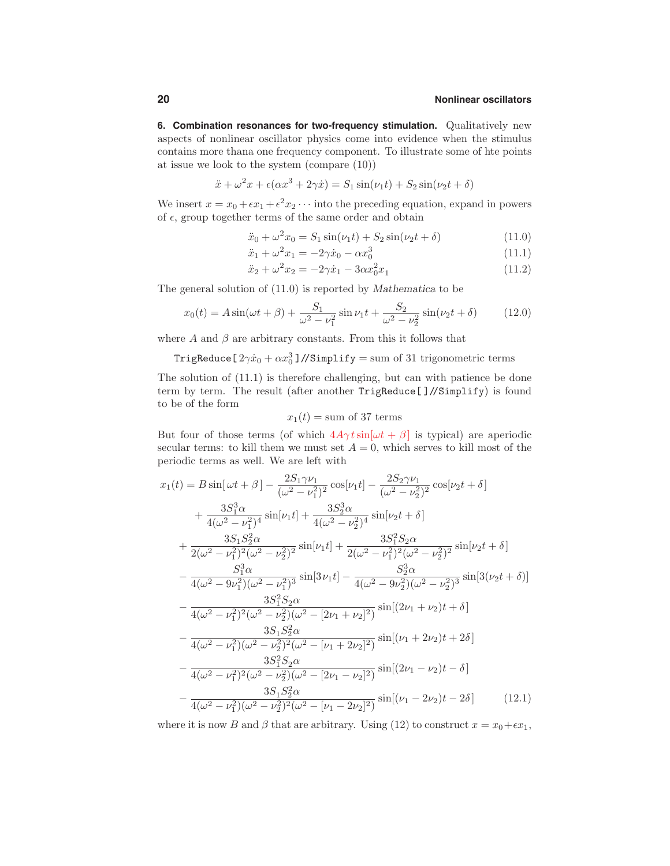**6. Combination resonances for two-frequency stimulation.** Qualitatively new aspects of nonlinear oscillator physics come into evidence when the stimulus contains more thana one frequency component. To illustrate some of hte points at issue we look to the system (compare (10))

$$
\ddot{x} + \omega^2 x + \epsilon(\alpha x^3 + 2\gamma \dot{x}) = S_1 \sin(\nu_1 t) + S_2 \sin(\nu_2 t + \delta)
$$

We insert  $x = x_0 + \epsilon x_1 + \epsilon^2 x_2 \cdots$  into the preceding equation, expand in powers of  $\epsilon$ , group together terms of the same order and obtain

$$
\ddot{x}_0 + \omega^2 x_0 = S_1 \sin(\nu_1 t) + S_2 \sin(\nu_2 t + \delta)
$$
\n(11.0)

$$
\ddot{x}_1 + \omega^2 x_1 = -2\gamma \dot{x}_0 - \alpha x_0^3 \tag{11.1}
$$

$$
\ddot{x}_2 + \omega^2 x_2 = -2\gamma \dot{x}_1 - 3\alpha x_0^2 x_1 \tag{11.2}
$$

The general solution of (11.0) is reported by *Mathematica* to be

$$
x_0(t) = A\sin(\omega t + \beta) + \frac{S_1}{\omega^2 - \nu_1^2}\sin \nu_1 t + \frac{S_2}{\omega^2 - \nu_2^2}\sin(\nu_2 t + \delta)
$$
 (12.0)

where  $A$  and  $\beta$  are arbitrary constants. From this it follows that

TrigReduce[ $2\gamma \dot{x}_0 + \alpha x_0^3$ ]//Simplify = sum of 31 trigonometric terms

The solution of (11.1) is therefore challenging, but can with patience be done term by term. The result (after another TrigReduce[ ]//Simplify) is found to be of the form

$$
x_1(t) = \text{sum of 37 terms}
$$

But four of those terms (of which  $4A\gamma t \sin[\omega t + \beta]$  is typical) are aperiodic secular terms: to kill them we must set  $A = 0$ , which serves to kill most of the periodic terms as well. We are left with

$$
x_{1}(t) = B \sin[\omega t + \beta] - \frac{2S_{1}\gamma\nu_{1}}{(\omega^{2} - \nu_{1}^{2})^{2}} \cos[\nu_{1}t] - \frac{2S_{2}\gamma\nu_{1}}{(\omega^{2} - \nu_{2}^{2})^{2}} \cos[\nu_{2}t + \delta]
$$
  
+ 
$$
\frac{3S_{1}^{3}\alpha}{4(\omega^{2} - \nu_{1}^{2})^{4}} \sin[\nu_{1}t] + \frac{3S_{2}^{3}\alpha}{4(\omega^{2} - \nu_{2}^{2})^{4}} \sin[\nu_{2}t + \delta]
$$
  
+ 
$$
\frac{3S_{1}S_{2}^{2}\alpha}{2(\omega^{2} - \nu_{1}^{2})^{2}(\omega^{2} - \nu_{2}^{2})^{2}} \sin[\nu_{1}t] + \frac{3S_{1}^{2}S_{2}\alpha}{2(\omega^{2} - \nu_{1}^{2})^{2}(\omega^{2} - \nu_{2}^{2})^{2}} \sin[\nu_{2}t + \delta]
$$
  
- 
$$
\frac{S_{1}^{3}\alpha}{4(\omega^{2} - 9\nu_{1}^{2})(\omega^{2} - \nu_{1}^{2})^{3}} \sin[3\nu_{1}t] - \frac{S_{2}^{3}\alpha}{4(\omega^{2} - 9\nu_{2}^{2})(\omega^{2} - \nu_{2}^{2})^{3}} \sin[3(\nu_{2}t + \delta)]
$$
  
- 
$$
\frac{3S_{1}^{2}S_{2}\alpha}{4(\omega^{2} - \nu_{1}^{2})^{2}(\omega^{2} - \nu_{2}^{2})(\omega^{2} - [2\nu_{1} + \nu_{2}]^{2})} \sin[(2\nu_{1} + \nu_{2})t + \delta]
$$
  
- 
$$
\frac{3S_{1}S_{2}^{2}\alpha}{4(\omega^{2} - \nu_{1}^{2})(\omega^{2} - \nu_{2}^{2})^{2}(\omega^{2} - [\nu_{1} + 2\nu_{2}]^{2})} \sin[(\nu_{1} + 2\nu_{2})t + 2\delta]
$$
  
- 
$$
\frac{3S_{1}^{2}S_{2}\alpha}{4(\omega^{2} - \nu_{1}^{2})^{2}(\omega^{2} - \nu_{2}^{2})(\omega^{2} - [2\nu_{1} - \nu_{2}]^{2})} \sin[(2\nu_{1} - \nu_{
$$

where it is now *B* and  $\beta$  that are arbitrary. Using (12) to construct  $x = x_0 + \epsilon x_1$ ,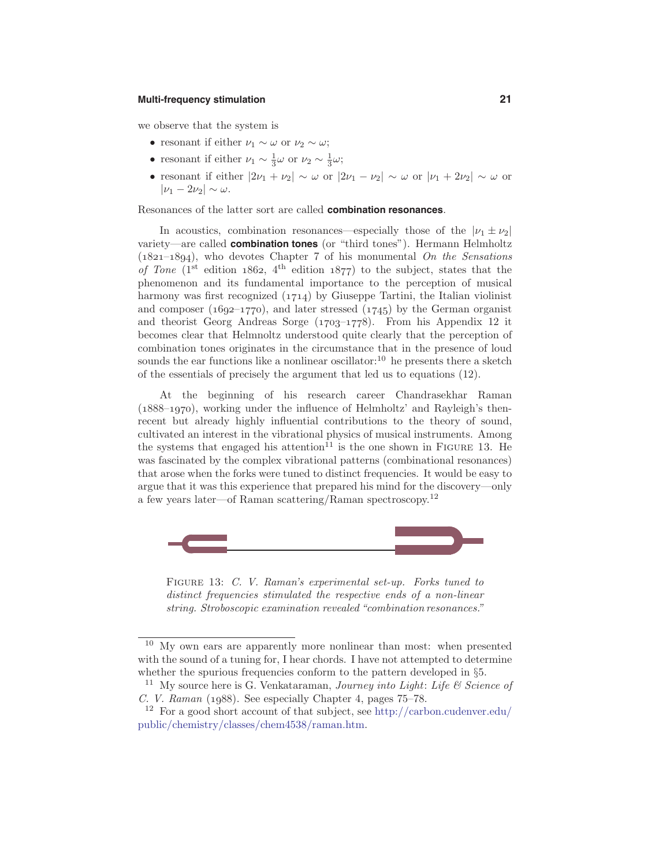# **Multi-frequency stimulation 21**

we observe that the system is

- resonant if either  $\nu_1 \sim \omega$  or  $\nu_2 \sim \omega$ ;
- resonant if either  $\nu_1 \sim \frac{1}{3}\omega$  or  $\nu_2 \sim \frac{1}{3}\omega$ ;
- resonant if either  $|2\nu_1 + \nu_2| \sim \omega$  or  $|2\nu_1 \nu_2| \sim \omega$  or  $|\nu_1 + 2\nu_2| \sim \omega$  or  $|\nu_1 - 2\nu_2| \sim \omega$ .

Resonances of the latter sort are called **combination resonances**.

In acoustics, combination resonances—especially those of the  $|\nu_1 \pm \nu_2|$ variety—are called **combination tones** (or "third tones"). Hermann Helmholtz (*1821*–*1894*), who devotes Chapter 7 of his monumental On the Sensations of Tone  $(1^{st}$  edition  $1862$ ,  $4^{th}$  edition  $1877$ ) to the subject, states that the phenomenon and its fundamental importance to the perception of musical harmony was first recognized (*1714*) by Giuseppe Tartini, the Italian violinist and composer (*1692*–*1770*), and later stressed (*1745*) by the German organist and theorist Georg Andreas Sorge (*1703*–*1778*). From his Appendix 12 it becomes clear that Helmnoltz understood quite clearly that the perception of combination tones originates in the circumstance that in the presence of loud sounds the ear functions like a nonlinear oscillator:<sup>10</sup> he presents there a sketch of the essentials of precisely the argument that led us to equations (12).

At the beginning of his research career Chandrasekhar Raman (*1888*–*1970*), working under the influence of Helmholtz' and Rayleigh's thenrecent but already highly influential contributions to the theory of sound, cultivated an interest in the vibrational physics of musical instruments. Among the systems that engaged his attention<sup>11</sup> is the one shown in FIGURE 13. He was fascinated by the complex vibrational patterns (combinational resonances) that arose when the forks were tuned to distinct frequencies. It would be easy to argue that it was this experience that prepared his mind for the discovery—only a few years later—of Raman scattering/Raman spectroscopy.<sup>12</sup>



Figure 13: C. V. Raman's experimental set-up. Forks tuned to distinct frequencies stimulated the respective ends of a non-linear string. Stroboscopic examination revealed "combination resonances."

 $10$  My own ears are apparently more nonlinear than most: when presented with the sound of a tuning for, I hear chords. I have not attempted to determine whether the spurious frequencies conform to the pattern developed in  $\S5$ .

<sup>&</sup>lt;sup>11</sup> My source here is G. Venkataraman, *Journey into Light: Life*  $\mathcal C$  *Science of* C. V. Raman (*1988*). See especially Chapter 4, pages 75–78.

<sup>&</sup>lt;sup>12</sup> For a good short account of that subject, see http://carbon.cudenver.edu/ public/chemistry/classes/chem4538/raman.htm.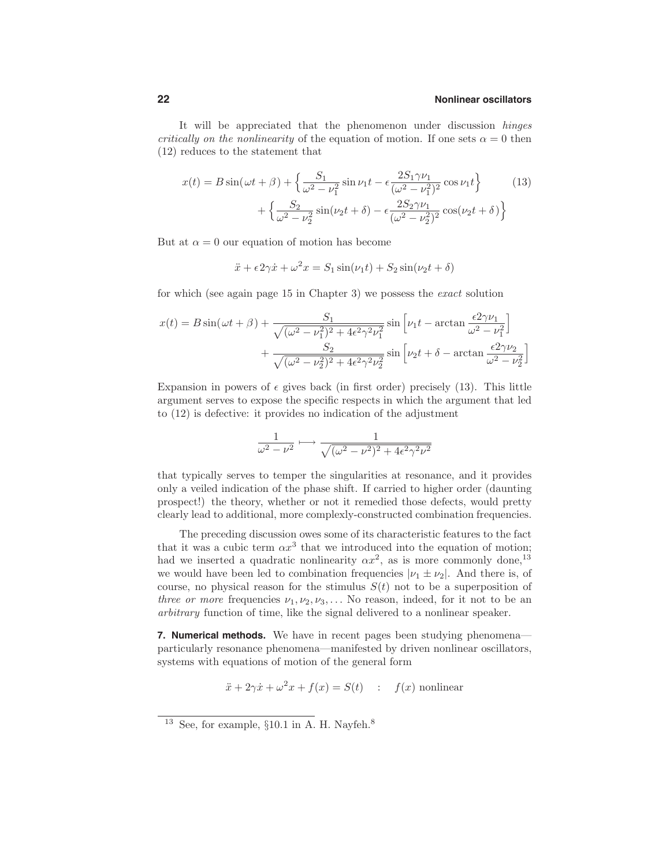It will be appreciated that the phenomenon under discussion hinges *critically on the nonlinearity* of the equation of motion. If one sets  $\alpha = 0$  then (12) reduces to the statement that

$$
x(t) = B\sin(\omega t + \beta) + \left\{\frac{S_1}{\omega^2 - \nu_1^2}\sin \nu_1 t - \frac{2S_1\gamma\nu_1}{(\omega^2 - \nu_1^2)^2}\cos \nu_1 t\right\}
$$
(13)  
+ 
$$
\left\{\frac{S_2}{\omega^2 - \nu_2^2}\sin(\nu_2 t + \delta) - \frac{2S_2\gamma\nu_1}{(\omega^2 - \nu_2^2)^2}\cos(\nu_2 t + \delta)\right\}
$$

But at  $\alpha = 0$  our equation of motion has become

$$
\ddot{x} + \epsilon 2\gamma \dot{x} + \omega^2 x = S_1 \sin(\nu_1 t) + S_2 \sin(\nu_2 t + \delta)
$$

for which (see again page 15 in Chapter 3) we possess the exact solution

$$
x(t) = B\sin(\omega t + \beta) + \frac{S_1}{\sqrt{(\omega^2 - \nu_1^2)^2 + 4\epsilon^2\gamma^2\nu_1^2}}\sin\left[\nu_1 t - \arctan\frac{\epsilon^2\gamma\nu_1}{\omega^2 - \nu_1^2}\right] + \frac{S_2}{\sqrt{(\omega^2 - \nu_2^2)^2 + 4\epsilon^2\gamma^2\nu_2^2}}\sin\left[\nu_2 t + \delta - \arctan\frac{\epsilon^2\gamma\nu_2}{\omega^2 - \nu_2^2}\right]
$$

Expansion in powers of  $\epsilon$  gives back (in first order) precisely (13). This little argument serves to expose the specific respects in which the argument that led to (12) is defective: it provides no indication of the adjustment

$$
\frac{1}{\omega^2-\nu^2}\longmapsto\frac{1}{\sqrt{(\omega^2-\nu^2)^2+4\epsilon^2\gamma^2\nu^2}}
$$

that typically serves to temper the singularities at resonance, and it provides only a veiled indication of the phase shift. If carried to higher order (daunting prospect!) the theory, whether or not it remedied those defects, would pretty clearly lead to additional, more complexly-constructed combination frequencies.

The preceding discussion owes some of its characteristic features to the fact that it was a cubic term  $\alpha x^3$  that we introduced into the equation of motion; had we inserted a quadratic nonlinearity  $\alpha x^2$ , as is more commonly done,<sup>13</sup> we would have been led to combination frequencies  $|\nu_1 \pm \nu_2|$ . And there is, of course, no physical reason for the stimulus  $S(t)$  not to be a superposition of *three or more* frequencies  $\nu_1, \nu_2, \nu_3, \ldots$  No reason, indeed, for it not to be an arbitrary function of time, like the signal delivered to a nonlinear speaker.

**7. Numerical methods.** We have in recent pages been studying phenomena particularly resonance phenomena—manifested by driven nonlinear oscillators, systems with equations of motion of the general form

$$
\ddot{x} + 2\gamma \dot{x} + \omega^2 x + f(x) = S(t) \quad : \quad f(x) \text{ nonlinear}
$$

<sup>&</sup>lt;sup>13</sup> See, for example,  $\S 10.1$  in A. H. Nayfeh.<sup>8</sup>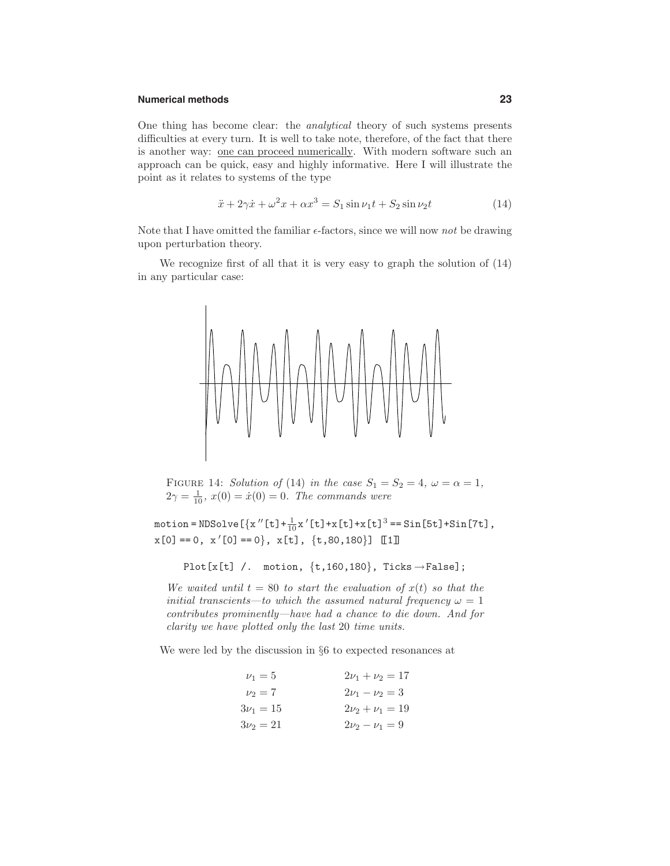#### **Numerical methods 23**

One thing has become clear: the analytical theory of such systems presents difficulties at every turn. It is well to take note, therefore, of the fact that there is another way: one can proceed numerically. With modern software such an approach can be quick, easy and highly informative. Here I will illustrate the point as it relates to systems of the type

$$
\ddot{x} + 2\gamma \dot{x} + \omega^2 x + \alpha x^3 = S_1 \sin \nu_1 t + S_2 \sin \nu_2 t \tag{14}
$$

Note that I have omitted the familiar  $\epsilon$ -factors, since we will now not be drawing upon perturbation theory.

We recognize first of all that it is very easy to graph the solution of (14) in any particular case:



FIGURE 14: Solution of (14) in the case  $S_1 = S_2 = 4$ ,  $\omega = \alpha = 1$ ,  $2\gamma = \frac{1}{10}$ ,  $x(0) = \dot{x}(0) = 0$ . The commands were

motion = NDSolve  $[\{x''[t]\}+\frac{1}{10}x'[t]\ +x[t]\ +x[t]^3 = \sin[5t]\ +\sin[7t]$ ,  $x[0] == 0, x'[0] == 0, x[L], x[t], \{t, 80, 180\}]$  [1]

Plot $[x[t]$  /. motion,  $\{t, 160, 180\}$ , Ticks  $\rightarrow$  False];

We waited until  $t = 80$  to start the evaluation of  $x(t)$  so that the initial transcients—to which the assumed natural frequency  $\omega = 1$ contributes prominently—have had a chance to die down. And for clarity we have plotted only the last 20 time units.

We were led by the discussion in §6 to expected resonances at

| $\nu_1 = 5$   | $2\nu_1 + \nu_2 = 17$ |
|---------------|-----------------------|
| $\nu_2 = 7$   | $2\nu_1 - \nu_2 = 3$  |
| $3\nu_1 = 15$ | $2\nu_2 + \nu_1 = 19$ |
| $3\nu_2 = 21$ | $2\nu_2 - \nu_1 = 9$  |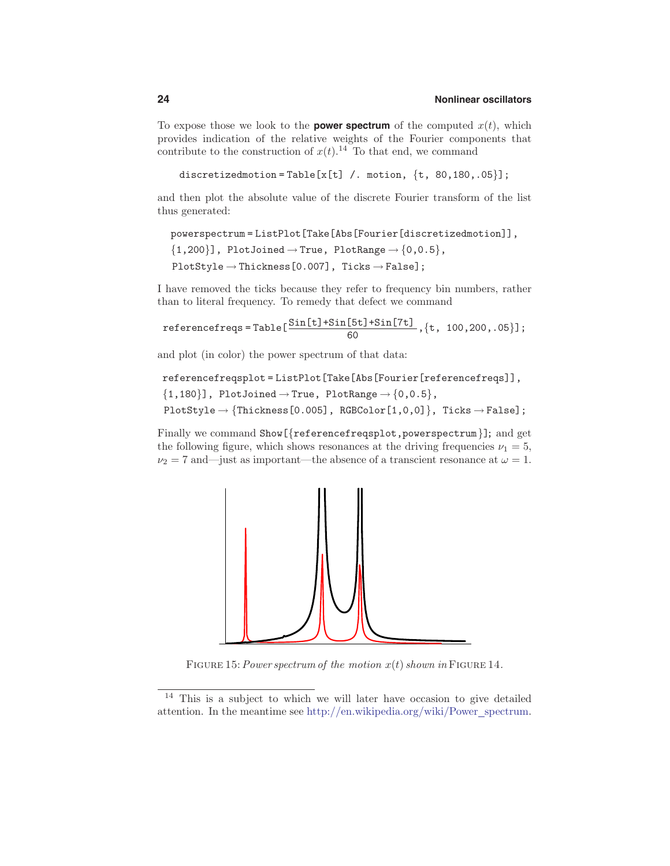To expose those we look to the **power spectrum** of the computed  $x(t)$ , which provides indication of the relative weights of the Fourier components that contribute to the construction of  $x(t)$ .<sup>14</sup> To that end, we command

```
discretizedmotion=Table[x[t] /. motion, \{t, 80, 180, .05\}];
```
and then plot the absolute value of the discrete Fourier transform of the list thus generated:

powerspectrum = ListPlot[Take[Abs[Fourier[discretizedmotion]],

 $\{1,200\}$ , PlotJoined  $\rightarrow$  True, PlotRange  $\rightarrow$  {0,0.5},  $PlotStyle \rightarrow Thickness[0.007]$ , Ticks  $\rightarrow False$ ];

I have removed the ticks because they refer to frequency bin numbers, rather than to literal frequency. To remedy that defect we command

$$
\text{referencefreqs} = \text{Table} \left[ \frac{\text{Sin[t]} + \text{Sin[5t]} + \text{Sin[7t]}}{60}, \{t, 100, 200, .05\} \right];
$$

and plot (in color) the power spectrum of that data:

```
referencefreqsplot = ListPlot[Take[Abs[Fourier[referencefreqs]],
{1,180}, PlotJoined \rightarrow True, PlotRange \rightarrow {0,0.5},
PlotStyle \rightarrow {Thickness[0.005], RGBColor[1,0,0]}, Ticks \rightarrow False];
```
Finally we command Show [{referencefreqsplot,powerspectrum}]; and get the following figure, which shows resonances at the driving frequencies  $\nu_1 = 5$ ,  $\nu_2 = 7$  and—just as important—the absence of a transcient resonance at  $\omega = 1$ .



FIGURE 15: Power spectrum of the motion  $x(t)$  shown in FIGURE 14.

<sup>14</sup> This is a subject to which we will later have occasion to give detailed attention. In the meantime see http://en.wikipedia.org/wiki/Power\_spectrum.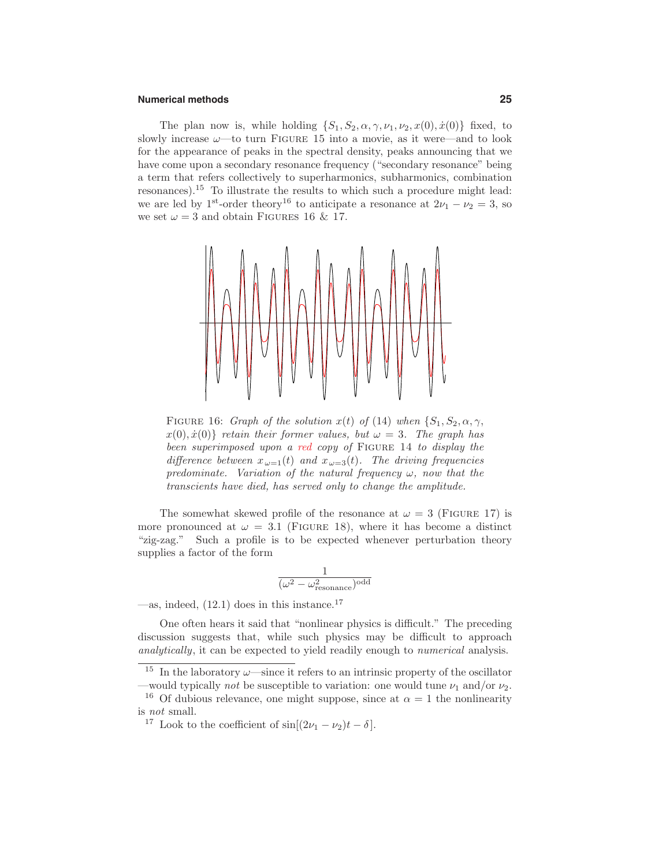#### **Numerical methods 25**

The plan now is, while holding  $\{S_1, S_2, \alpha, \gamma, \nu_1, \nu_2, x(0), \dot{x}(0)\}\)$  fixed, to slowly increase  $\omega$ —to turn FIGURE 15 into a movie, as it were—and to look for the appearance of peaks in the spectral density, peaks announcing that we have come upon a secondary resonance frequency ("secondary resonance" being a term that refers collectively to superharmonics, subharmonics, combination resonances).<sup>15</sup> To illustrate the results to which such a procedure might lead: we are led by 1<sup>st</sup>-order theory<sup>16</sup> to anticipate a resonance at  $2\nu_1 - \nu_2 = 3$ , so we set  $\omega = 3$  and obtain FIGURES 16 & 17.



FIGURE 16: Graph of the solution  $x(t)$  of (14) when  $\{S_1, S_2, \alpha, \gamma,$  $x(0), \dot{x}(0)$ } retain their former values, but  $\omega = 3$ . The graph has been superimposed upon a red copy of FIGURE 14 to display the difference between  $x_{\omega=1}(t)$  and  $x_{\omega=3}(t)$ . The driving frequencies predominate. Variation of the natural frequency  $\omega$ , now that the transcients have died, has served only to change the amplitude.

The somewhat skewed profile of the resonance at  $\omega = 3$  (FIGURE 17) is more pronounced at  $\omega = 3.1$  (FIGURE 18), where it has become a distinct "zig-zag." Such a profile is to be expected whenever perturbation theory supplies a factor of the form

$$
\frac{1}{(\omega^2-\omega_{\rm resonance}^2)^{\rm odd}}
$$

—as, indeed,  $(12.1)$  does in this instance.<sup>17</sup>

One often hears it said that "nonlinear physics is difficult." The preceding discussion suggests that, while such physics may be difficult to approach analytically, it can be expected to yield readily enough to *numerical* analysis.

<sup>&</sup>lt;sup>15</sup> In the laboratory  $\omega$ —since it refers to an intrinsic property of the oscillator —would typically *not* be susceptible to variation: one would tune  $\nu_1$  and/or  $\nu_2$ .

<sup>&</sup>lt;sup>16</sup> Of dubious relevance, one might suppose, since at  $\alpha = 1$  the nonlinearity is not small.

<sup>&</sup>lt;sup>17</sup> Look to the coefficient of  $\sin[(2\nu_1 - \nu_2)t - \delta]$ .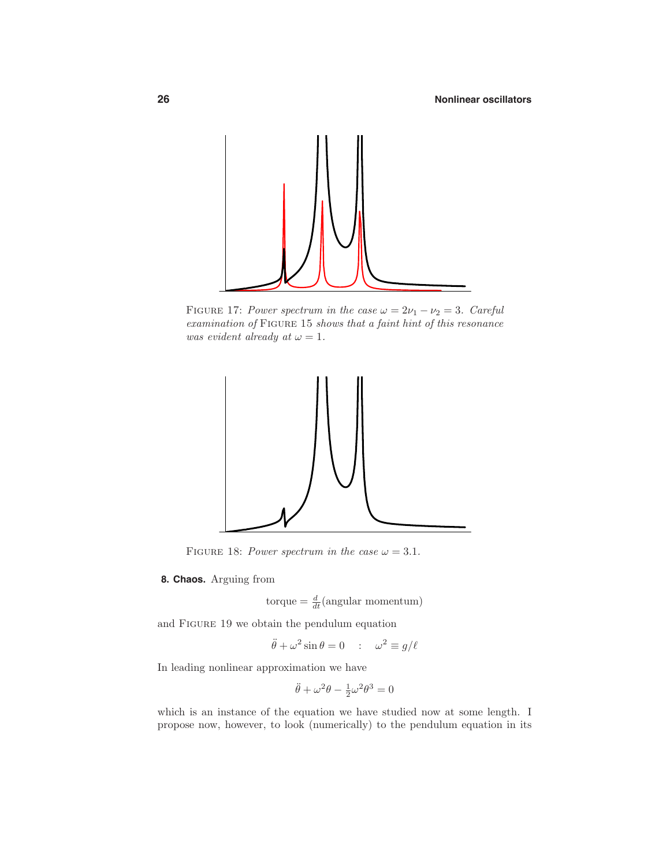

FIGURE 17: Power spectrum in the case  $\omega = 2\nu_1 - \nu_2 = 3$ . Careful examination of Figure 15 shows that a faint hint of this resonance was evident already at  $\omega = 1$ .



FIGURE 18: Power spectrum in the case  $\omega = 3.1$ .

**8. Chaos.** Arguing from

 $\text{torque} = \frac{d}{dt}(\text{angular momentum})$ 

and Figure 19 we obtain the pendulum equation

$$
\ddot{\theta} + \omega^2 \sin \theta = 0 \quad : \quad \omega^2 \equiv g/\ell
$$

In leading nonlinear approximation we have

$$
\ddot{\theta} + \omega^2 \theta - \frac{1}{2} \omega^2 \theta^3 = 0
$$

which is an instance of the equation we have studied now at some length. I propose now, however, to look (numerically) to the pendulum equation in its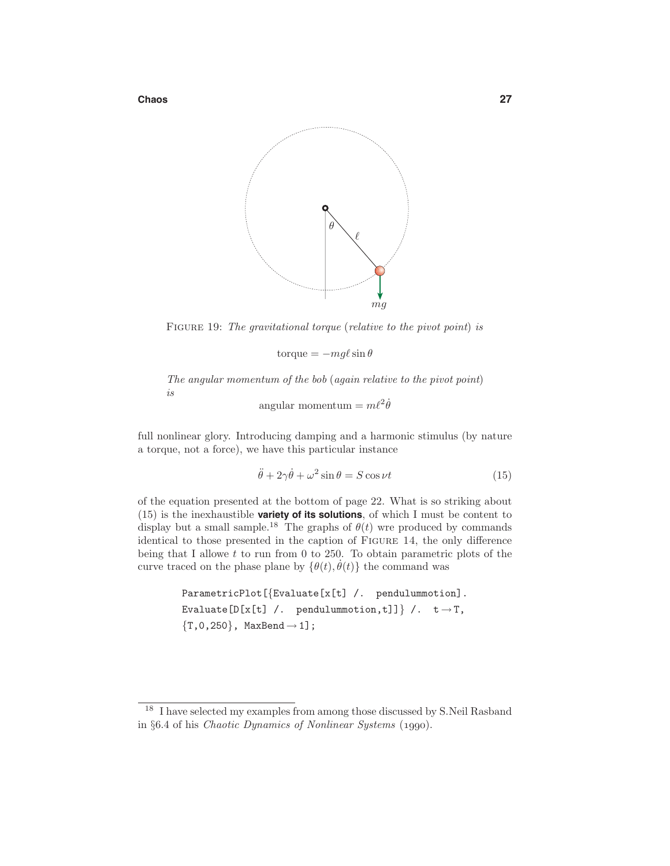**Chaos 27**



FIGURE 19: The gravitational torque (relative to the pivot point) is

 $\text{torque} = -mg\ell \sin \theta$ 

The angular momentum of the bob (again relative to the pivot point) is

 $\text{angular momentum} = m\ell^2 \dot{\theta}$ 

full nonlinear glory. Introducing damping and a harmonic stimulus (by nature a torque, not a force), we have this particular instance

$$
\ddot{\theta} + 2\gamma \dot{\theta} + \omega^2 \sin \theta = S \cos \nu t \tag{15}
$$

of the equation presented at the bottom of page 22. What is so striking about (15) is the inexhaustible **variety of its solutions**, of which I must be content to display but a small sample.<sup>18</sup> The graphs of  $\theta(t)$  wre produced by commands identical to those presented in the caption of Figure 14, the only difference being that I allowe *t* to run from 0 to 250. To obtain parametric plots of the curve traced on the phase plane by  $\{\theta(t), \dot{\theta}(t)\}\$ the command was

> ParametricPlot[{Evaluate[x[t] /. pendulummotion]. Evaluate[D[x[t] /. pendulummotion,t]]} /.  $t \rightarrow T$ ,  ${T, 0, 250}$ , MaxBend  $\rightarrow 1$ ];

<sup>&</sup>lt;sup>18</sup> I have selected my examples from among those discussed by S.Neil Rasband in §6.4 of his Chaotic Dynamics of Nonlinear Systems (*1990*).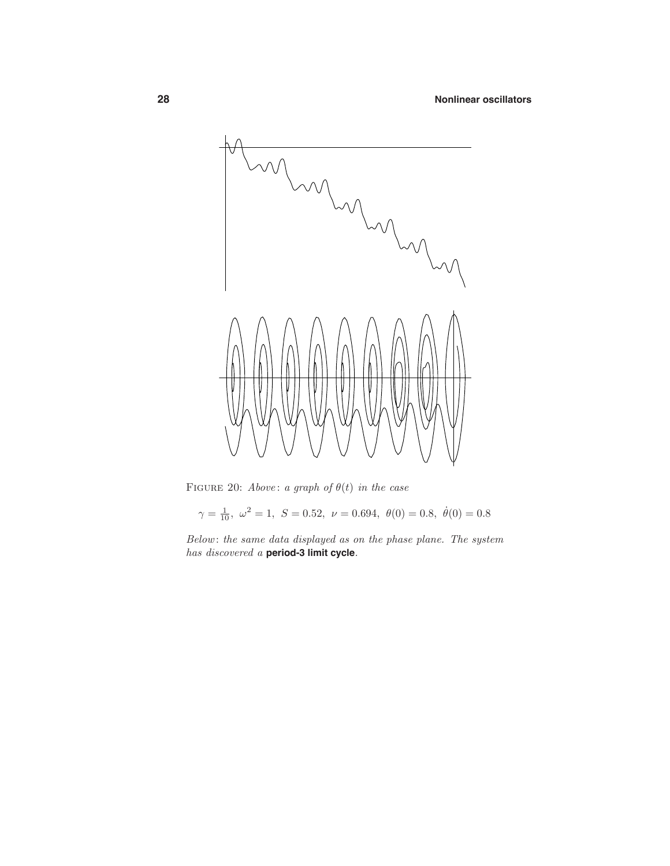

FIGURE 20: Above: a graph of  $\theta(t)$  in the case

 $\gamma = \frac{1}{10}$ *,*  $\omega^2 = 1$ ,  $S = 0.52$ ,  $\nu = 0.694$ ,  $\theta(0) = 0.8$ ,  $\dot{\theta}(0) = 0.8$ 

Below : the same data displayed as on the phase plane. The system has discovered a **period-3 limit cycle**.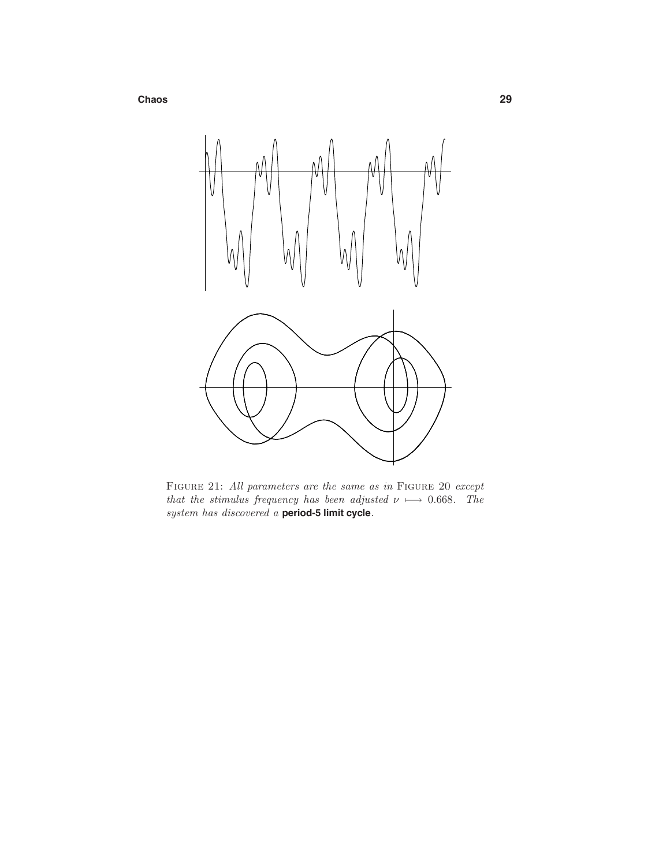**Chaos 29**



Figure 21: All parameters are the same as in Figure 20 except that the stimulus frequency has been adjusted  $\nu \mapsto 0.668$ . The system has discovered a **period-5 limit cycle**.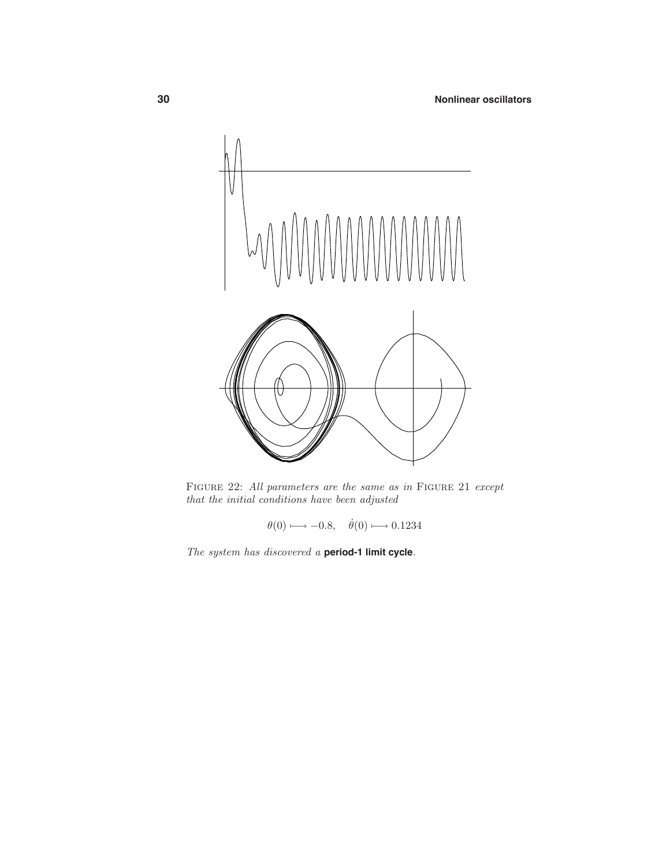

FIGURE 22: All parameters are the same as in FIGURE 21 except that the initial conditions have been adjusted

 $\theta(0) \longmapsto -0.8, \quad \dot{\theta}(0) \longmapsto 0.1234$ 

The system has discovered a **period-1 limit cycle**.